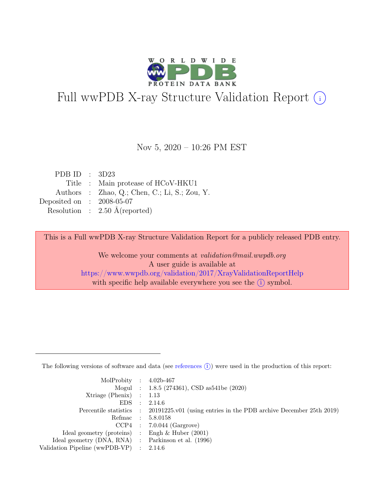

# Full wwPDB X-ray Structure Validation Report  $(i)$

#### Nov 5, 2020 – 10:26 PM EST

| PDB ID : $3D23$             |                                               |
|-----------------------------|-----------------------------------------------|
|                             | Title : Main protease of HCoV-HKU1            |
|                             | Authors : Zhao, Q.; Chen, C.; Li, S.; Zou, Y. |
| Deposited on : $2008-05-07$ |                                               |
|                             | Resolution : $2.50 \text{ Å}$ (reported)      |

This is a Full wwPDB X-ray Structure Validation Report for a publicly released PDB entry.

We welcome your comments at validation@mail.wwpdb.org A user guide is available at <https://www.wwpdb.org/validation/2017/XrayValidationReportHelp> with specific help available everywhere you see the  $(i)$  symbol.

The following versions of software and data (see [references](https://www.wwpdb.org/validation/2017/XrayValidationReportHelp#references)  $(i)$ ) were used in the production of this report:

| MolProbity : $4.02b-467$                            |           |                                                                                            |
|-----------------------------------------------------|-----------|--------------------------------------------------------------------------------------------|
|                                                     |           | Mogul : 1.8.5 (274361), CSD as 541be (2020)                                                |
| $Xtriangle (Phenix)$ : 1.13                         |           |                                                                                            |
| EDS                                                 | $\cdot$ : | 2.14.6                                                                                     |
|                                                     |           | Percentile statistics : 20191225.v01 (using entries in the PDB archive December 25th 2019) |
| Refmac : 5.8.0158                                   |           |                                                                                            |
|                                                     |           | $CCP4$ : 7.0.044 (Gargrove)                                                                |
| Ideal geometry (proteins) : Engh $\&$ Huber (2001)  |           |                                                                                            |
| Ideal geometry (DNA, RNA) : Parkinson et al. (1996) |           |                                                                                            |
| Validation Pipeline (wwPDB-VP) : $2.14.6$           |           |                                                                                            |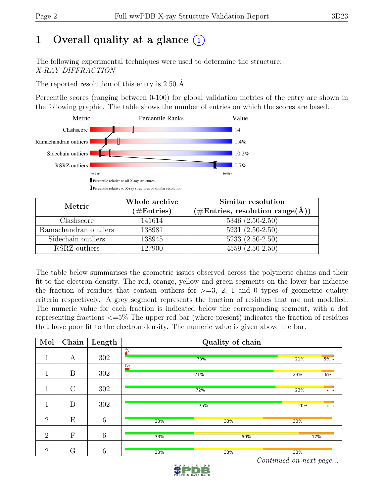# 1 Overall quality at a glance  $(i)$

The following experimental techniques were used to determine the structure: X-RAY DIFFRACTION

The reported resolution of this entry is 2.50 Å.

Percentile scores (ranging between 0-100) for global validation metrics of the entry are shown in the following graphic. The table shows the number of entries on which the scores are based.



| Metric                | Whole archive<br>$(\#\text{Entries})$ | Similar resolution<br>$(\# \text{Entries}, \text{ resolution range}(\text{A}))$ |
|-----------------------|---------------------------------------|---------------------------------------------------------------------------------|
| Clashscore            | 141614                                | $5346 (2.50 - 2.50)$                                                            |
| Ramachandran outliers | 138981                                | $5231 (2.50 - 2.50)$                                                            |
| Sidechain outliers    | 138945                                | $5233(2.50-2.50)$                                                               |
| RSRZ outliers         | 127900                                | $4559(2.50-2.50)$                                                               |

The table below summarises the geometric issues observed across the polymeric chains and their fit to the electron density. The red, orange, yellow and green segments on the lower bar indicate the fraction of residues that contain outliers for  $>=$  3, 2, 1 and 0 types of geometric quality criteria respectively. A grey segment represents the fraction of residues that are not modelled. The numeric value for each fraction is indicated below the corresponding segment, with a dot representing fractions <=5% The upper red bar (where present) indicates the fraction of residues that have poor fit to the electron density. The numeric value is given above the bar.

| Mol            | Chain        | Length |               | Quality of chain |                             |
|----------------|--------------|--------|---------------|------------------|-----------------------------|
| 1.<br>┸        | A            | 302    | $\frac{9}{6}$ | 73%              | 21%<br>$5\%$ .              |
| 1              | B            | 302    | 2%            | 71%              | 23%<br>6%                   |
| 1<br>T         | $\rm C$      | 302    |               | 72%              | 23%<br>$\ddot{\phantom{0}}$ |
| $\mathbf{1}$   | D            | 302    |               | 75%              | 20%<br>. .                  |
| $\overline{2}$ | E            | 6      | 33%           | 33%              | 33%                         |
| $\overline{2}$ | $\mathbf{F}$ | 6      | 33%           | 50%              | 17%                         |
| $\overline{2}$ | G            | 6      | 33%           | 33%              | 33%                         |

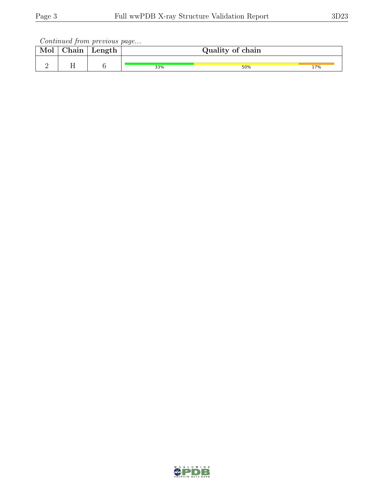| Mol | Chain | Length |     | Quality of chain |     |
|-----|-------|--------|-----|------------------|-----|
|     | . .   |        | 33% | 50%              | 17% |

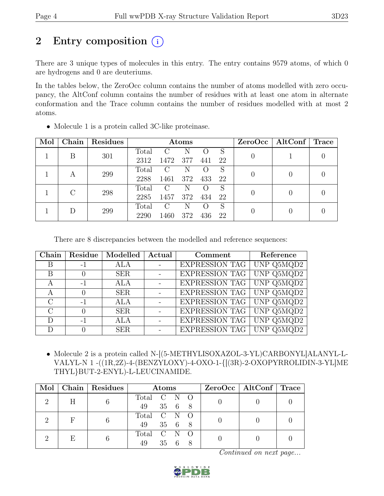# 2 Entry composition  $(i)$

There are 3 unique types of molecules in this entry. The entry contains 9579 atoms, of which 0 are hydrogens and 0 are deuteriums.

In the tables below, the ZeroOcc column contains the number of atoms modelled with zero occupancy, the AltConf column contains the number of residues with at least one atom in alternate conformation and the Trace column contains the number of residues modelled with at most 2 atoms.

| Mol | Chain | Residues | Atoms |          |     |     |    | $ZeroOcc \mid AltConf \mid$ | Trace |
|-----|-------|----------|-------|----------|-----|-----|----|-----------------------------|-------|
|     | В     | 301      | Total | $\Gamma$ | N   |     | S  |                             |       |
|     |       |          | 2312  | 1472     | 377 | 441 | 22 |                             |       |
|     | A     | 299      | Total | $\rm C$  | Ν   |     | S  |                             |       |
|     |       |          | 2288  | 1461     | 372 | 433 | 22 |                             |       |
|     | 298   |          | Total | $\rm C$  | N   |     | S  |                             |       |
|     |       |          | 2285  | 1457     | 372 | 434 | 22 |                             |       |
|     |       |          | Total | C        | N   |     | S  |                             |       |
|     | 299   | 2290     | 1460  | 372      | 436 | 22  |    |                             |       |

• Molecule 1 is a protein called 3C-like proteinase.

There are 8 discrepancies between the modelled and reference sequences:

| Chain         | Residue | Modelled   | Actual         | Comment               | Reference                      |
|---------------|---------|------------|----------------|-----------------------|--------------------------------|
| B             | $-1$    | <b>ALA</b> | $\sim 100$     | <b>EXPRESSION TAG</b> | UNP Q5MQD2                     |
| B             |         | <b>SER</b> | $\sim$ $ \sim$ | <b>EXPRESSION TAG</b> | UNP Q5MQD2                     |
| А             | $-1$    | <b>ALA</b> |                | <b>EXPRESSION TAG</b> | $\overline{\text{UNP Q5MQD2}}$ |
| А             |         | <b>SER</b> |                | <b>EXPRESSION TAG</b> | UNP Q5MQD2                     |
| $\mathcal{C}$ | $-1$    | <b>ALA</b> |                | EXPRESSION TAG        | UNP Q5MQD2                     |
| $\Gamma$      |         | <b>SER</b> |                | <b>EXPRESSION TAG</b> | UNP Q5MQD2                     |
| D             | $-1$    | <b>ALA</b> |                | <b>EXPRESSION TAG</b> | UNP Q5MQD2                     |
| D             |         | <b>SER</b> |                | <b>EXPRESSION TAG</b> | UNP Q5MQD2                     |

• Molecule 2 is a protein called N-[(5-METHYLISOXAZOL-3-YL)CARBONYL]ALANYL-L-VALYL-N 1 -((1R,2Z)-4-(BENZYLOXY)-4-OXO-1-{[(3R)-2-OXOPYRROLIDIN-3-YL]ME THYL}BUT-2-ENYL)-L-LEUCINAMIDE.

|    | Mol   Chain   Residues | Atoms             |    |        |  | ZeroOcc   AltConf   Trace |  |
|----|------------------------|-------------------|----|--------|--|---------------------------|--|
| H  |                        | Total C N O<br>49 |    | 35 6 8 |  |                           |  |
|    |                        | Total C N O<br>49 |    | 35 6 8 |  |                           |  |
| F, |                        | Total C N O<br>49 | 35 |        |  |                           |  |

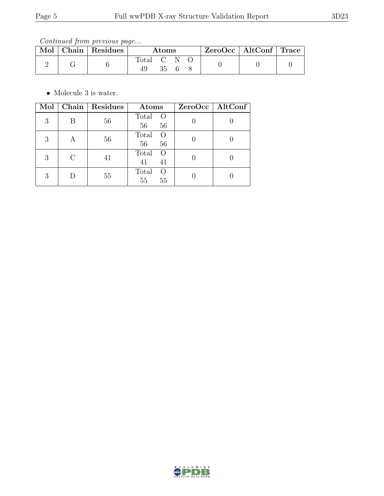Continued from previous page...

| Mol | Chain   Residues | Atoms     |    | $ZeroOcc \mid AltConf \mid Trace$ |  |  |  |
|-----|------------------|-----------|----|-----------------------------------|--|--|--|
|     |                  | Total C N | 35 |                                   |  |  |  |

 $\bullet\,$  Molecule 3 is water.

| Mol |           | Chain   Residues | Atoms                                 | ZeroOcc   AltConf |
|-----|-----------|------------------|---------------------------------------|-------------------|
| 3   | B         | 56               | Total<br>$\circ$<br>56<br>56          |                   |
| 3   | А         | 56               | Total<br>$\overline{O}$<br>56<br>56   |                   |
| 3   | $\bigcap$ | 41               | Total<br>$\circ$<br>41<br>41          |                   |
| 3   |           | 55               | Total<br>$\left( \right)$<br>55<br>55 |                   |

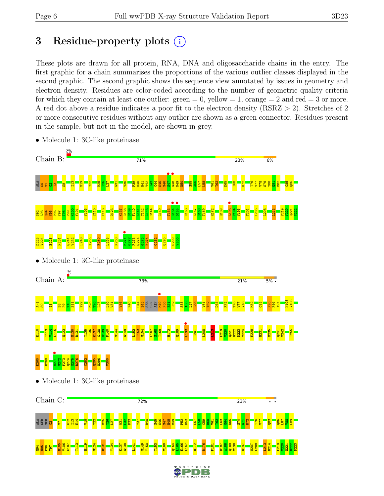# 3 Residue-property plots  $(i)$

These plots are drawn for all protein, RNA, DNA and oligosaccharide chains in the entry. The first graphic for a chain summarises the proportions of the various outlier classes displayed in the second graphic. The second graphic shows the sequence view annotated by issues in geometry and electron density. Residues are color-coded according to the number of geometric quality criteria for which they contain at least one outlier:  $green = 0$ , yellow  $= 1$ , orange  $= 2$  and red  $= 3$  or more. A red dot above a residue indicates a poor fit to the electron density (RSRZ > 2). Stretches of 2 or more consecutive residues without any outlier are shown as a green connector. Residues present in the sample, but not in the model, are shown in grey.



• Molecule 1: 3C-like proteinase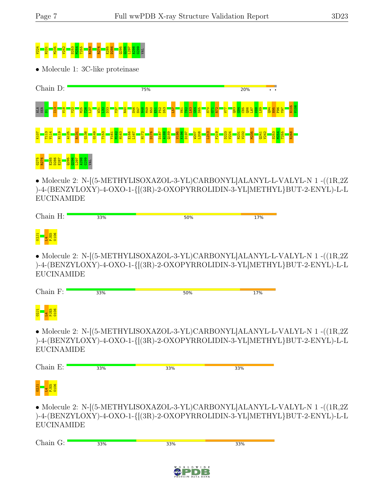# V224 N231 M235 V242 S253 M254 T255 R268 R276 E285 D286 Q295 Q296 L297 A298 G299 VAL

• Molecule 1: 3C-like proteinase





• Molecule 2: N-[(5-METHYLISOXAZOL-3-YL)CARBONYL]ALANYL-L-VALYL-N 1 -((1R,2Z )-4-(BENZYLOXY)-4-OXO-1-{[(3R)-2-OXOPYRROLIDIN-3-YL]METHYL}BUT-2-ENYL)-L-L EUCINAMIDE

| Chain H: | 33% | 50%                                                       | 17% |
|----------|-----|-----------------------------------------------------------|-----|
| 02J1     |     |                                                           |     |
|          |     | • Molecule 2: N-[(5-METHYLISOXAZOL-3-YL)CARBONYL ALANYL-L |     |

 $-VALYL-N1-((1R,2Z))$ )-4-(BENZYLOXY)-4-OXO-1-{[(3R)-2-OXOPYRROLIDIN-3-YL]METHYL}BUT-2-ENYL)-L-L EUCINAMIDE

| Chain F:                         | 33% | 50% | 17% |
|----------------------------------|-----|-----|-----|
| <b>02J1</b><br><b>IE5</b><br>106 |     |     |     |

• Molecule 2: N-[(5-METHYLISOXAZOL-3-YL)CARBONYL]ALANYL-L-VALYL-N 1 -((1R,2Z )-4-(BENZYLOXY)-4-OXO-1-{[(3R)-2-OXOPYRROLIDIN-3-YL]METHYL}BUT-2-ENYL)-L-L **EUCINAMIDE** 

| $\mathbf{\tau}$<br>$\sim$ $\sim$ $\sim$ $\sim$<br>н. | 33% | 33% | 33% |
|------------------------------------------------------|-----|-----|-----|
| 름<br>14 음                                            |     |     |     |

 $z<sub>5</sub>$ 

• Molecule 2: N-[(5-METHYLISOXAZOL-3-YL)CARBONYL]ALANYL-L-VALYL-N 1 -((1R,2Z )-4-(BENZYLOXY)-4-OXO-1-{[(3R)-2-OXOPYRROLIDIN-3-YL]METHYL}BUT-2-ENYL)-L-L EUCINAMIDE

| Chain G: | 33% | 33% | 33% |
|----------|-----|-----|-----|
|          |     |     |     |
|          |     |     |     |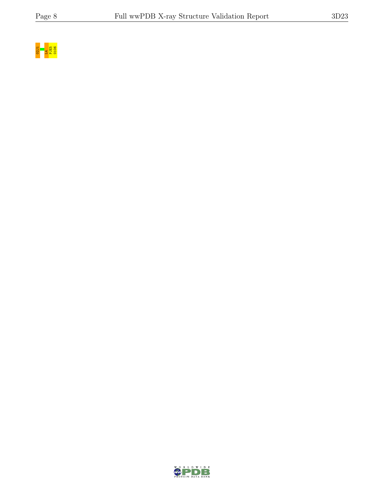

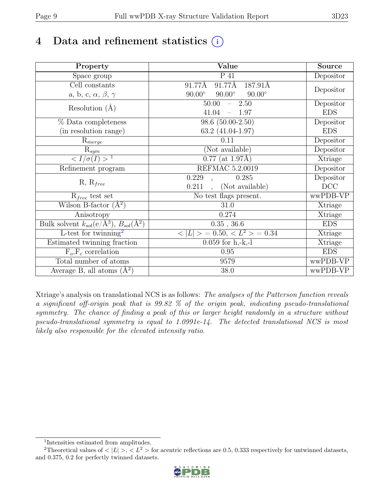# 4 Data and refinement statistics  $(i)$

| Property                                                             | Value                                           | Source     |
|----------------------------------------------------------------------|-------------------------------------------------|------------|
| $\overline{S}$ pace group                                            | P 41                                            | Depositor  |
| $\overline{C}$ ell constants                                         | 91.77Å<br>91.77Å<br>187.91Å                     |            |
| a, b, c, $\alpha$ , $\beta$ , $\gamma$                               | $90.00^\circ$<br>$90.00^\circ$<br>$90.00^\circ$ | Depositor  |
| Resolution $(A)$                                                     | 50.00<br>$-2.50$                                | Depositor  |
|                                                                      | 41.04<br>$-1.97$                                | <b>EDS</b> |
| % Data completeness                                                  | $98.6(50.00-2.50)$                              | Depositor  |
| (in resolution range)                                                | 63.2 (41.04-1.97)                               | <b>EDS</b> |
| $R_{merge}$                                                          | 0.11                                            | Depositor  |
| $\mathrm{R}_{sym}$                                                   | (Not available)                                 | Depositor  |
| $\langle I/\sigma(I) \rangle$ <sup>1</sup>                           | $\overline{0.77}$ (at 1.97Å)                    | Xtriage    |
| Refinement program                                                   | <b>REFMAC 5.2.0019</b>                          | Depositor  |
|                                                                      | 0.229<br>0.285                                  | Depositor  |
| $R, R_{free}$                                                        | (Not available)<br>0.211                        | DCC        |
| $R_{free}$ test set                                                  | $\overline{\text{No}}$ test flags present.      | wwPDB-VP   |
| Wilson B-factor $(A^2)$                                              | 31.0                                            | Xtriage    |
| Anisotropy                                                           | 0.274                                           | Xtriage    |
| Bulk solvent $k_{sol}(e/\mathring{A}^3)$ , $B_{sol}(\mathring{A}^2)$ | $0.35$ , 36.6                                   | <b>EDS</b> |
| L-test for twinning <sup>2</sup>                                     | $< L >$ = 0.50, $< L^2 >$ = 0.34                | Xtriage    |
| Estimated twinning fraction                                          | $0.059$ for h,-k,-l                             | Xtriage    |
| $F_o, F_c$ correlation                                               | 0.95                                            | <b>EDS</b> |
| Total number of atoms                                                | 9579                                            | wwPDB-VP   |
| Average B, all atoms $(A^2)$                                         | 38.0                                            | wwPDB-VP   |

Xtriage's analysis on translational NCS is as follows: The analyses of the Patterson function reveals a significant off-origin peak that is 99.82 % of the origin peak, indicating pseudo-translational symmetry. The chance of finding a peak of this or larger height randomly in a structure without pseudo-translational symmetry is equal to 1.0991e-14. The detected translational NCS is most likely also responsible for the elevated intensity ratio.

<sup>&</sup>lt;sup>2</sup>Theoretical values of  $\langle |L| \rangle$ ,  $\langle L^2 \rangle$  for acentric reflections are 0.5, 0.333 respectively for untwinned datasets, and 0.375, 0.2 for perfectly twinned datasets.



<span id="page-8-1"></span><span id="page-8-0"></span><sup>1</sup> Intensities estimated from amplitudes.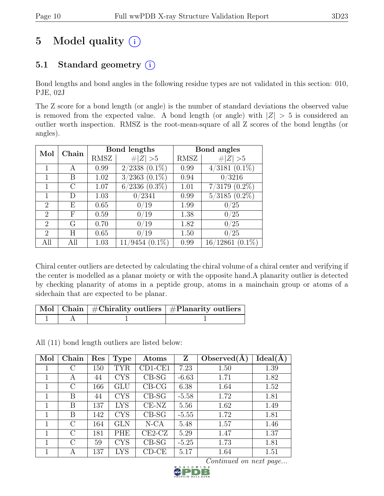# 5 Model quality  $(i)$

## 5.1 Standard geometry  $(i)$

Bond lengths and bond angles in the following residue types are not validated in this section: 010, PJE, 02J

The Z score for a bond length (or angle) is the number of standard deviations the observed value is removed from the expected value. A bond length (or angle) with  $|Z| > 5$  is considered an outlier worth inspection. RMSZ is the root-mean-square of all Z scores of the bond lengths (or angles).

| Mol            | Chain |      | Bond lengths              |             | Bond angles                   |
|----------------|-------|------|---------------------------|-------------|-------------------------------|
|                |       | RMSZ | $\# Z  > 5$               | <b>RMSZ</b> | # $ Z  > 5$                   |
|                | А     | 0.99 | $2/2338$ $(0.1\%)$        | 0.99        | $(3181 (0.1\%)$<br>4/         |
| 1              | В     | 1.02 | $3/2363$ $(0.1\%)$        | 0.94        | 0/3216                        |
|                | C     | 1.07 | $6/2336$ $(0.3\%)$        | 1.01        | $(0.2\%)$<br>7/3179           |
|                | D     | 1.03 | 0/2341                    | 0.99        | $5/3185$ $(0.\overline{2\%)}$ |
| $\overline{2}$ | Е     | 0.65 | /19<br>0                  | 1.99        | $^{\prime}25$                 |
| $\overline{2}$ | F     | 0.59 | 0/19                      | 1.38        | $^{\prime}25$<br>0.           |
| $\overline{2}$ | G     | 0.70 | 0/19                      | 1.82        | 0/25                          |
| 2              | H     | 0.65 | $^{\prime}19$<br>$^{(1)}$ | 1.50        | $^{\prime}25$                 |
| All            | All   | 1.03 | $(0.1\%)$<br>'9454        | 0.99        | $(0.1\%)$<br>16/12861         |

Chiral center outliers are detected by calculating the chiral volume of a chiral center and verifying if the center is modelled as a planar moiety or with the opposite hand.A planarity outlier is detected by checking planarity of atoms in a peptide group, atoms in a mainchain group or atoms of a sidechain that are expected to be planar.

|  | Mol   Chain   #Chirality outliers   #Planarity outliers |
|--|---------------------------------------------------------|
|  |                                                         |

All (11) bond length outliers are listed below:

| Mol         | Chain         | Res | <b>Type</b> | Atoms      | Z       | Observed $(A)$ | Ideal(A) |
|-------------|---------------|-----|-------------|------------|---------|----------------|----------|
|             | С             | 150 | <b>TYR</b>  | $CD1$ -CE1 | 7.23    | 1.50           | 1.39     |
| 1           | A             | 44  | <b>CYS</b>  | $CB-SG$    | $-6.63$ | 1.71           | 1.82     |
|             | C             | 166 | GLU         | $CB-CG$    | 6.38    | 1.64           | 1.52     |
|             | В             | 44  | <b>CYS</b>  | $CB-SG$    | $-5.58$ | 1.72           | 1.81     |
| 1           | В             | 137 | LYS         | $CE-NZ$    | 5.56    | 1.62           | 1.49     |
| 1           | В             | 142 | <b>CYS</b>  | $CB-SG$    | $-5.55$ | 1.72           | 1.81     |
| 1           | $\rm C$       | 164 | <b>GLN</b>  | $N-CA$     | 5.48    | 1.57           | 1.46     |
| $\mathbf 1$ | C             | 181 | PHE         | $CE2-CZ$   | 5.29    | 1.47           | 1.37     |
| 1           | $\mathcal{C}$ | 59  | <b>CYS</b>  | $CB-SG$    | $-5.25$ | 1.73           | 1.81     |
|             | A             | 137 | LYS         | $CD-CE$    | 5.17    | 1.64           | 1.51     |

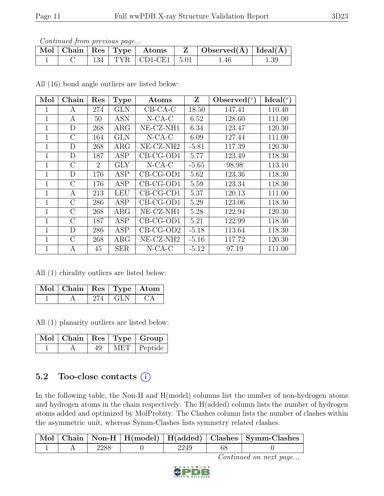|  |  |                              | $\mid$ Mol $\mid$ Chain $\mid$ Res $\mid$ Type $\mid$ Atoms $\mid$ Z $\mid$ Observed(A) $\mid$ Ideal(A) |          |
|--|--|------------------------------|---------------------------------------------------------------------------------------------------------|----------|
|  |  | $134$   TYR   CD1-CE1   5.01 | 1.46                                                                                                    | $1.39\,$ |

All (16) bond angle outliers are listed below:

| Mol            | Chain         | Res            | <b>Type</b> | Atoms          | Z       | Observed $(°)$ | Ideal $(^\circ)$ |
|----------------|---------------|----------------|-------------|----------------|---------|----------------|------------------|
| 1              | А             | 274            | <b>GLN</b>  | $CB-CA-C$      | 18.50   | 147.41         | 110.40           |
| $\mathbf 1$    | A             | 50             | <b>ASN</b>  | $N-CA-C$       | 6.52    | 128.60         | 111.00           |
| 1              | D             | 268            | ARG         | $NE- CZ- N H1$ | 6.34    | 123.47         | 120.30           |
| 1              | $\rm C$       | 164            | <b>GLN</b>  | $N$ -CA-C      | 6.09    | 127.44         | 111.00           |
| $\overline{1}$ | D             | 268            | $\rm{ARG}$  | $NE- CZ-NH2$   | $-5.81$ | 117.39         | 120.30           |
| 1              | D             | 187            | ASP         | $CB-CG-OD1$    | 5.77    | 123.49         | 118.30           |
| $\mathbf 1$    | $\rm C$       | $\overline{2}$ | <b>GLY</b>  | $N$ -CA-C      | $-5.65$ | 98.98          | 113.10           |
| $\mathbf 1$    | D             | 176            | <b>ASP</b>  | $CB-CG-OD1$    | 5.62    | 123.36         | 118.30           |
| 1              | $\mathcal{C}$ | 176            | ASP         | $CB-CG-OD1$    | 5.59    | 123.34         | 118.30           |
| 1              | A             | 213            | <b>LEU</b>  | $CB-CG-CD1$    | 5.37    | 120.13         | 111.00           |
| $\mathbf 1$    | $\rm C$       | 286            | <b>ASP</b>  | $CB-CG-OD1$    | 5.29    | 123.06         | 118.30           |
| 1              | $\mathcal{C}$ | 268            | $\rm{ARG}$  | NE-CZ-NH1      | 5.28    | 122.94         | 120.30           |
| 1              | $\mathcal{C}$ | 187            | ASP         | $CB-CG-OD1$    | 5.21    | 122.99         | 118.30           |
| $\mathbf{1}$   | D             | 286            | <b>ASP</b>  | $CB-CG-OD2$    | $-5.18$ | 113.64         | 118.30           |
| 1              | $\rm C$       | 268            | ARG         | NE-CZ-NH2      | $-5.16$ | 117.72         | 120.30           |
| 1              | А             | 45             | <b>SER</b>  | $N$ -CA-C      | $-5.12$ | 97.19          | 111.00           |

All (1) chirality outliers are listed below:

| $\overline{\text{Mol}}$   Chain   Res   Type   Atom |           |           |
|-----------------------------------------------------|-----------|-----------|
|                                                     | $274$ GLN | $C\Delta$ |

All (1) planarity outliers are listed below:

|  |  | $\boxed{\text{Mol}}$   Chain   Res   Type   Group |
|--|--|---------------------------------------------------|
|  |  | MET   Peptide                                     |

#### 5.2 Too-close contacts  $(i)$

In the following table, the Non-H and H(model) columns list the number of non-hydrogen atoms and hydrogen atoms in the chain respectively. The H(added) column lists the number of hydrogen atoms added and optimized by MolProbity. The Clashes column lists the number of clashes within the asymmetric unit, whereas Symm-Clashes lists symmetry related clashes.

|  |      |      | Mol   Chain   Non-H   H(model)   H(added)   Clashes   Symm-Clashes |
|--|------|------|--------------------------------------------------------------------|
|  | 2288 | 2249 |                                                                    |

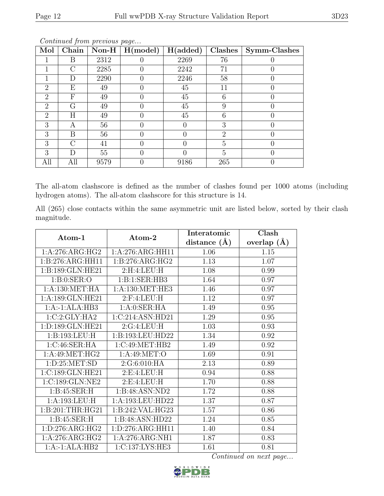| Mol            | Chain     | $\bf Non-H$ | H (model) | H(added) | Clashes        | Symm-Clashes |
|----------------|-----------|-------------|-----------|----------|----------------|--------------|
|                | В         | 2312        |           | 2269     | 76             |              |
|                | $\cap$    | 2285        |           | 2242     | 71             |              |
|                | D         | 2290        |           | 2246     | 58             |              |
| $\overline{2}$ | Ε         | 49          |           | 45       | 11             |              |
| $\overline{2}$ | F         | 49          |           | 45       | 6              |              |
| 2              | G         | 49          |           | 45       | 9              |              |
| $\mathfrak{D}$ | Η         | 49          |           | 45       | 6              | 0            |
| 3              | А         | 56          |           |          | 3              |              |
| 3              | В         | 56          |           |          | $\overline{2}$ |              |
| 3              | $\bigcap$ | 41          |           |          | 5              |              |
| 3              | D         | 55          |           |          | 5              |              |
| All            | All       | 9579        |           | 9186     | 265            |              |

The all-atom clashscore is defined as the number of clashes found per 1000 atoms (including hydrogen atoms). The all-atom clashscore for this structure is 14.

All (265) close contacts within the same asymmetric unit are listed below, sorted by their clash magnitude.

| Atom-1             |                     | Interatomic      | Clash           |
|--------------------|---------------------|------------------|-----------------|
|                    | Atom-2              | distance $(\AA)$ | overlap $(\AA)$ |
| 1:A:276:ARG:HG2    | 1:A:276:ARG:HH11    | 1.06             | 1.15            |
| 1:B:276:ARG:HH11   | 1: B: 276: ARG: HG2 | 1.13             | 1.07            |
| 1:B:189:GLN:HE21   | 2:H:4:LEU:H         | 1.08             | 0.99            |
| 1: B: 0: SER: O    | 1:B:1:SER:HB3       | 1.64             | 0.97            |
| 1: A: 130: MET: HA | 1: A: 130: MET: HE3 | 1.46             | 0.97            |
| 1:A:189:GLN:HE21   | $2:$ F:4:LEU:H      | 1.12             | 0.97            |
| $1:A:-1:ALA:HB3$   | 1:A:0:SER:HA        | 1.49             | 0.95            |
| 1:C:2:CLY:HA2      | 1:C:214:ASN:HD21    | 1.29             | 0.95            |
| 1:D:189:GLN:HE21   | 2:G:4:LEU:H         | 1.03             | 0.93            |
| 1:B:193:LEU:H      | 1:B:193:LEU:HD22    | 1.34             | 0.92            |
| 1:C:46:SER:HA      | 1:C:49:MET:HB2      | 1.49             | 0.92            |
| 1:A:49:MET:HG2     | 1:A:49:MET:O        | 1.69             | 0.91            |
| 1: D:25: MET:SD    | 2:G:6:010:HA        | 2.13             | 0.89            |
| 1:C:189:GLN:HE21   | 2:E:4:LEU:H         | 0.94             | 0.88            |
| 1:C:189:GLN:NE2    | 2: E: 4: LEU: H     | 1.70             | 0.88            |
| 1: B:45: SER:H     | 1:B:48:ASN:ND2      | 1.72             | 0.88            |
| 1:A:193:LEU:H      | 1:A:193:LEU:HD22    | 1.37             | 0.87            |
| 1:B:201:THR:HG21   | 1:B:242:VAL:HG23    | 1.57             | 0.86            |
| 1: B:45: SER:H     | 1:B:48:ASN:HD22     | 1.24             | 0.85            |
| 1:D:276:ARG:HG2    | 1:D:276:ARG:HH11    | 1.40             | 0.84            |
| 1:A:276:ARG:HG2    | 1:A:276:ARG:NH1     | 1.87             | 0.83            |
| $1:A:-1:ALA:HB2$   | 1:C:137:LYS:HE3     | 1.61             | 0.81            |

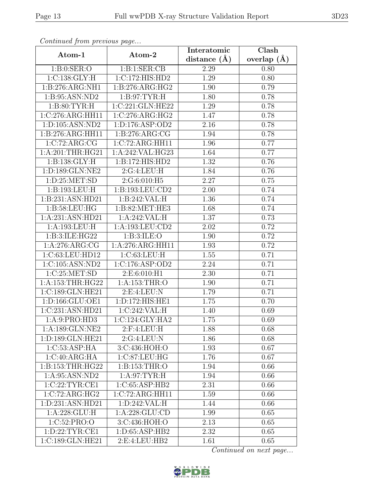|                                           | Atom-2              | Interatomic       | $\overline{\text{Clash}}$ |
|-------------------------------------------|---------------------|-------------------|---------------------------|
| Atom-1                                    |                     | distance $(A)$    | overlap $(A)$             |
| 1: B: 0: SER: O                           | 1:B:1:SER:CB        | 2.29              | 0.80                      |
| 1:C:138:GLY:H                             | 1:C:172:HIS:HD2     | 1.29              | 0.80                      |
| 1:B:276:ARG:NH1                           | 1: B: 276: ARG: HG2 | 1.90              | 0.79                      |
| 1:B:95:ASN:ND2                            | 1: B:97: TYR:H      | 1.80              | 0.78                      |
| 1: B:80: TYR:H                            | 1:C:221:GLN:HE22    | 1.29              | 0.78                      |
| 1:C:276:ARG:HH11                          | 1:C:276:ARG:HG2     | 1.47              | 0.78                      |
| 1:D:105:ASN:ND2                           | 1: D: 176: ASP: OD2 | $\overline{2.16}$ | 0.78                      |
| 1:B:276:ARG:HH11                          | 1: B:276: ARG: CG   | 1.94              | 0.78                      |
| 1:C:72:ARG:CG                             | 1:C:72:ARG:HH11     | 1.96              | 0.77                      |
| 1: A:201:THR:HG21                         | 1:A:242:VAL:HG23    | 1.64              | 0.77                      |
| 1: B: 138: GLY: H                         | 1:B:172:HIS:HD2     | 1.32              | 0.76                      |
| 1:D:189:GLN:NE2                           | 2:G:4:LEU:H         | $\overline{1.84}$ | 0.76                      |
| 1: D:25: MET:SD                           | 2:G:6:010:H5        | $\overline{2.27}$ | 0.75                      |
| 1:B:193:LEU:H                             | 1:B:193:LEU:CD2     | 2.00              | 0.74                      |
| 1:B:231:ASN:HD21                          | 1:B:242:VAL:H       | 1.36              | 0.74                      |
| 1: B:58:LEU:HG                            | 1: B:82: MET:HE3    | 1.68              | 0.74                      |
| 1:A:231:ASN:HD21                          | 1:A:242:VAL:H       | 1.37              | 0.73                      |
| 1:A:193:LEU:H                             | 1:A:193:LEU:CD2     | 2.02              | 0.72                      |
| 1:B:3:ILE:HG22                            | 1: B:3: ILE: O      | 1.90              | 0.72                      |
| 1:A:276:ARG:CG                            | 1:A:276:ARG:HH11    | 1.93              | 0.72                      |
| 1:C:63:LEU:HD12                           | 1:C:63:LEU:H        | 1.55              | 0.71                      |
| 1:C:105:ASN:ND2                           | 1:C:176:ASP:OD2     | 2.24              | 0.71                      |
| 1:C:25:MET:SD                             | 2:E:6:010:H1        | 2.30              | 0.71                      |
| 1:A:153:THR:HG22                          | 1:A:153:THR:O       | 1.90              | 0.71                      |
| 1:C:189:GLN:HE21                          | 2:E:4:LEU:N         | 1.79              | 0.71                      |
| 1:D:166:GLU:OE1                           | 1:D:172:HIS:HE1     | $\overline{1}.75$ | 0.70                      |
| 1:C:231:ASN:HD21                          | 1:C:242:VAL:H       | 1.40              | 0.69                      |
| 1: A:9: PRO:HD3                           | 1:C:124:GLY:HA2     | 1.75              | 0.69                      |
| 1:A:189:GLN:NE2                           | $2:$ F:4:LEU:H      | 1.88              | 0.68                      |
| 1:D:189:GLN:HE21                          | 2:G:4:LEU:N         | 1.86              | 0.68                      |
| $1:C:53: \overline{\text{ASP:H}\text{A}}$ | 3:C:436:HOH:O       | 1.93              | 0.67                      |
| 1:C:40:ARG:HA                             | 1:C:87:LEU:HG       | 1.76              | 0.67                      |
| 1:B:153:THR:HG22                          | 1:B:153:THR:O       | 1.94              | 0.66                      |
| 1:A:95:ASN:ND2                            | 1: A:97:TYR:H       | 1.94              | 0.66                      |
| 1:C:22:TYR:CE1                            | 1:C:65:ASP:HB2      | 2.31              | 0.66                      |
| 1:C:72:ARG:HG2                            | 1:C:72:ARG:HH11     | 1.59              | 0.66                      |
| 1:D:231:ASN:HD21                          | 1: D:242:VAL: H     | 1.44              | 0.66                      |
| 1:A:228:GLU:H                             | 1:A:228:GLU:CD      | 1.99              | 0.65                      |
| 1:C:52:PRO:O                              | 3:C:436:HOH:O       | 2.13              | 0.65                      |
| 1: D: 22: TYR: CE1                        | 1: D:65: ASP:HB2    | 2.32              | 0.65                      |
| 1:C:189:GLN:HE21                          | 2:E:4:LEU:HB2       | 1.61              | 0.65                      |

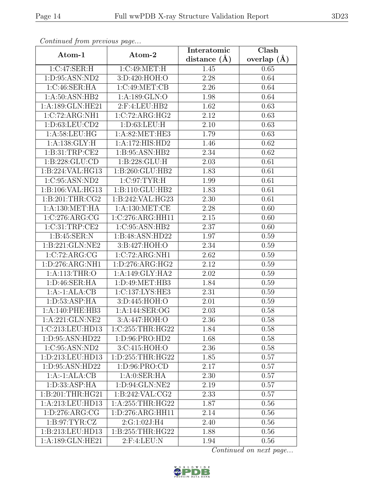| Continuation procession page   |                                      | Interatomic       | $\overline{\text{Clash}}$ |
|--------------------------------|--------------------------------------|-------------------|---------------------------|
| Atom-1                         | Atom-2                               | distance $(A)$    | overlap $(A)$             |
| 1:C:47:SER:H                   | 1:C:49:MET:H                         | 1.45              | 0.65                      |
| 1:D:95:ASN:ND2                 | 3:D:420:HOH:O                        | 2.28              | 0.64                      |
| 1:C:46:SER:HA                  | 1:C:49:MET:CB                        | 2.26              | 0.64                      |
| 1:A:50:ASN:HB2                 | 1:A:189:GLN:O                        | 1.98              | 0.64                      |
| 1:A:189:GLN:HE21               | 2:F:4:LEU:HB2                        | $\overline{1.62}$ | 0.63                      |
| 1:C:72:ARG:NH1                 | 1:C:72:ARG:HG2                       | 2.12              | 0.63                      |
| 1: D:63: LEU:CD2               | 1: D: 63: LEU: H                     | 2.10              | 0.63                      |
| 1: A:58:LEU:HG                 | 1:A:82:MET:HE3                       | 1.79              | 0.63                      |
| 1: A: 138: GLY: H              | 1:A:172:HIS:HD2                      | 1.46              | 0.62                      |
| 1:B:31:TRP:CE2                 | 1:B:95:ASN:HB2                       | 2.34              | 0.62                      |
| 1:B:228:GLU:CD                 | 1:B:228:GLU:H                        | 2.03              | 0.61                      |
| 1:B:224:VAL:HG13               | 1:B:260:GLU:HB2                      | 1.83              | 0.61                      |
| 1:C:95:ASN:ND2                 | 1:C:97:TYR:H                         | 1.99              | 0.61                      |
| 1:B:106:VAL:HG13               | 1:B:110:GLU:HB2                      | 1.83              | 0.61                      |
| 1: B:201:THR:CG2               | 1:B:242:VAL:HG23                     | 2.30              | 0.61                      |
| 1: A:130:MET:HA                | 1: A: 130: MET:CE                    | 2.28              | 0.60                      |
| 1:C:276:ARG:CG                 | 1:C:276:ARG:HH11                     | 2.15              | 0.60                      |
| 1:C:31:TRP:CE2                 | 1:C:95:ASN:HB2                       | 2.37              | 0.60                      |
| 1: B:45: SER: N                | 1:B:48:ASN:HD22                      | 1.97              | 0.59                      |
| 1:B:221:GLN:NE2                | 3:B:427:HOH:O                        | 2.34              | 0.59                      |
| 1:C:72:ARG:CG                  | $1:C:72:A\overline{\mathrm{RG:NH1}}$ | 2.62              | 0.59                      |
| 1:D:276:ARG:NH1                | 1:D:276:ARG:HG2                      | 2.12              | 0.59                      |
| 1: A:113:THR:O                 | 1:A:149:GLY:HA2                      | 2.02              | 0.59                      |
| 1: D:46: SER: HA               | 1:D:49:MET:HB3                       | 1.84              | 0.59                      |
| $1:A:-1:ALA:CB$                | 1:C:137:LYS:HE3                      | 2.31              | 0.59                      |
| $1: D: 53: \overline{ASP:H}$ A | 3:D:445:HOH:O                        | 2.01              | 0.59                      |
| 1:A:140:PHE:HB3                | 1:A:144:SER:OG                       | 2.03              | 0.58                      |
| 1:A:221:GLN:NE2                | 3:A:447:HOH:O                        | 2.36              | 0.58                      |
| 1:C:213:LEU:HD13               | 1:C:255:THR:HG22                     | 1.84              | 0.58                      |
| 1:D:95:ASN:HD22                | 1:D:96:PRO:HD2                       | 1.68              | 0.58                      |
| 1:C:95:ASN:ND2                 | 3:C:415:HOH:O                        | 2.36              | 0.58                      |
| 1:D:213:LEU:HD13               | 1:D:255:THR:HG22                     | 1.85              | 0.57                      |
| 1:D:95:ASN:HD22                | 1: D:96: PRO:CD                      | 2.17              | 0.57                      |
| $1:A:-1:ALA:CB$                | 1: A: 0: SER: HA                     | 2.30              | 0.57                      |
| 1: D: 33: ASP: HA              | 1:D:94:GLN:NE2                       | 2.19              | 0.57                      |
| 1:B:201:THR:HG21               | 1: B:242:VAL:CG2                     | 2.33              | 0.57                      |
| 1:A:213:LEU:HD13               | 1:A:255:THR:HG22                     | 1.87              | 0.56                      |
| 1: D: 276: ARG: CG             | 1:D:276:ARG:HH11                     | 2.14              | 0.56                      |
| 1: B:97: TYR: CZ               | 2:G:1:02J:H4                         | 2.40              | 0.56                      |
| 1:B:213:LEU:HD13               | 1:B:255:THR:HG22                     | 1.88              | 0.56                      |
| 1:A:189:GLN:HE21               | $2:$ F:4:LEU:N                       | 1.94              | 0.56                      |

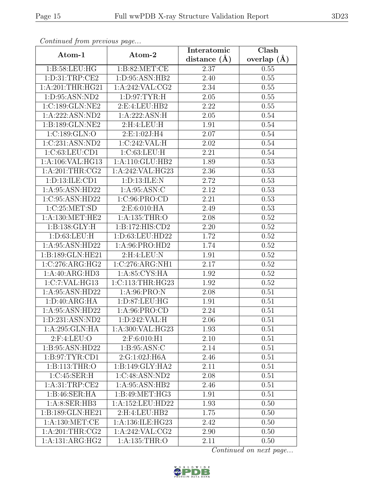| Continueu from pretious page |                    | Interatomic       | Clash           |
|------------------------------|--------------------|-------------------|-----------------|
| Atom-1                       | Atom-2             | distance $(A)$    | overlap $(\AA)$ |
| 1: B:58:LEU:HG               | 1: B:82:MET:CE     | 2.37              | 0.55            |
| 1: D: 31: TRP: CE2           | 1: D:95: ASN:HB2   | $\overline{2}.40$ | 0.55            |
| $1:$ A:201:THR:HG21          | 1: A:242: VAL: CG2 | 2.34              | 0.55            |
| 1:D:95:ASN:ND2               | 1: D:97: TYR: H    | 2.05              | 0.55            |
| 1:C:189:GLN:NE2              | 2:E:4:LEU:HB2      | 2.22              | 0.55            |
| 1:A:222:ASN:ND2              | 1:A:222:ASN:H      | 2.05              | 0.54            |
| 1:B:189:GLN:NE2              | 2:H:4:LEU:H        | 1.91              | 0.54            |
| 1:C:189:GLN:O                | 2:E:1:02J:H4       | 2.07              | 0.54            |
| 1:C:231:ASN:ND2              | 1:C:242:VAL:H      | 2.02              | 0.54            |
| 1:C:63:LEU:CD1               | 1:C:63:LEU:H       | 2.21              | 0.54            |
| 1:A:106:VAL:HG13             | 1:A:110:GLU:HB2    | 1.89              | 0.53            |
| 1:A:201:THR:CG2              | 1:A:242:VAL:HG23   | 2.36              | 0.53            |
| 1: D: 13: ILE: CD1           | 1:D:13:ILE:N       | 2.72              | 0.53            |
| 1:A:95:ASN:HD22              | 1: A:95: ASN: C    | 2.12              | 0.53            |
| 1:C:95:ASN:HD22              | 1:C:96:PRO:CD      | 2.21              | 0.53            |
| 1:C:25:MET:SD                | 2:E:6:010:HA       | 2.49              | 0.53            |
| 1: A: 130: MET: HE2          | 1:A:135:THR:O      | 2.08              | 0.52            |
| 1: B: 138: GLY: H            | 1:B:172:HIS:CD2    | 2.20              | 0.52            |
| 1: D:63:LEU: H               | 1:D:63:LEU:HD22    | 1.72              | 0.52            |
| 1:A:95:ASN:HD22              | 1: A:96: PRO:HD2   | 1.74              | 0.52            |
| 1:B:189:GLN:HE21             | 2:H:4:LEU:N        | 1.91              | 0.52            |
| 1:C:276:ARG:HG2              | 1:C:276:ARG:NH1    | 2.17              | 0.52            |
| 1:A:40:ARG:HD3               | 1: A:85: CYS:HA    | 1.92              | 0.52            |
| 1:C:7:VAL:HG13               | 1:C:113:THR:HG23   | 1.92              | 0.52            |
| 1:A:95:ASN:HD22              | 1: A:96: PRO: N    | 2.08              | 0.51            |
| 1: D: 40: ARG: HA            | 1:D:87:LEU:HG      | 1.91              | 0.51            |
| 1:A:95:ASN:HD22              | 1: A:96: PRO:CD    | 2.24              | 0.51            |
| 1:D:231:ASN:ND2              | 1: D: 242: VAL: H  | 2.06              | 0.51            |
| 1:A:295:GLN:HA               | 1:A:300:VAL:HG23   | 1.93              | 0.51            |
| $2:$ F:4:LEU:O               | 2:F:6:010:H1       | 2.10              | 0.51            |
| 1:B:95:ASN:HD22              | 1: B:95: ASN: C    | 2.14              | 0.51            |
| 1: B:97: TYR: CD1            | 2:G:1:02J:H6A      | 2.46              | 0.51            |
| $1:B:113:\overline{THR:O}$   | 1:B:149:GLY:HA2    | 2.11              | 0.51            |
| 1:C:45:SER:H                 | 1:C:48:ASN:ND2     | 2.08              | 0.51            |
| 1: A:31:TRP:CE2              | 1:A:95:ASN:HB2     | 2.46              | 0.51            |
| 1:B:46:SER:HA                | 1:B:49:MET:HG3     | 1.91              | 0.51            |
| 1: A: 8: SER: HB3            | 1:A:152:LEU:HD22   | 1.93              | 0.50            |
| 1:B:189:GLN:HE21             | 2:H:4:LEU:HB2      | 1.75              | 0.50            |
| 1: A: 130: MET:CE            | 1:A:136:ILE:HG23   | 2.42              | 0.50            |
| 1: A:201:THR:CG2             | 1:A:242:VAL:CG2    | 2.90              | 0.50            |
| 1:A:131:ARG:HG2              | 1:A:135:THR:O      | 2.11              | 0.50            |

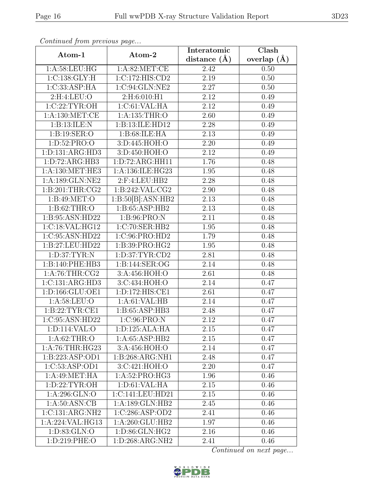| Continuea from previous page |                    | Interatomic       | $\overline{\text{Clash}}$ |  |
|------------------------------|--------------------|-------------------|---------------------------|--|
| Atom-1                       | Atom-2             | distance $(A)$    | overlap $(\AA)$           |  |
| 1:A:58:LEU:HG                | 1: A:82:MET:CE     | 2.42              | 0.50                      |  |
| 1: C: 138: GLY: H            | 1:C:172:HIS:CD2    | $\overline{2.19}$ | 0.50                      |  |
| 1:C:33:ASP:HA                | 1:C:94:GLN:NE2     | 2.27              | 0.50                      |  |
| 2:H:4:LEU:O                  | 2:H:6:010:H1       | $\overline{2}.12$ | 0.49                      |  |
| 1:C:22:TYR:OH                | 1:C:61:VAL:HA      | 2.12              | 0.49                      |  |
| 1: A: 130:MET:CE             | 1: A: 135: THR:O   | 2.60              | 0.49                      |  |
| 1:B:13:ILE:N                 | 1:B:13:ILE:HD12    | $\overline{2.28}$ | 0.49                      |  |
| 1: B: 19: SER: O             | 1:B:68:ILE:HA      | 2.13              | 0.49                      |  |
| 1: D: 52: PRO: O             | 3:D:445:HOH:O      | 2.20              | 0.49                      |  |
| 1: D: 131: ARG: HD3          | 3: D:450:HOH O:O   | 2.12              | 0.49                      |  |
| 1: D: 72: ARG: HB3           | 1:D:72:ARG:HH11    | 1.76              | 0.48                      |  |
| 1:A:130:MET:HE3              | 1:A:136:ILE:HG23   | 1.95              | 0.48                      |  |
| 1:A:189:GLN:NE2              | 2:F:4:LEU:HB2      | 2.28              | 0.48                      |  |
| 1: B:201:THR:CG2             | 1:B:242:VAL:CG2    | 2.90              | 0.48                      |  |
| 1:B:49:MET:O                 | 1:B:50[B]:ASN:HB2  | 2.13              | 0.48                      |  |
| 1: B:62:THR:O                | 1:B:65:ASP:HB2     | 2.13              | 0.48                      |  |
| 1:B:95:ASN:HD22              | 1:B:96:PRO:N       | 2.11              | 0.48                      |  |
| 1:C:18:VAL:HG12              | 1:C:70:SER:HB2     | 1.95              | 0.48                      |  |
| 1:C:95:ASN:HD22              | 1:C:96:PRO:HD2     | 1.79              | 0.48                      |  |
| 1:B:27:LEU:HD22              | 1:B:39:PRO:HG2     | 1.95              | 0.48                      |  |
| 1: D:37: TYR: N              | 1: D: 37: TYR: CD2 | 2.81              | 0.48                      |  |
| 1:B:140:PHE:HB3              | 1:B:144:SER:OG     | 2.14              | 0.48                      |  |
| 1: A:76:THR:CG2              | 3:A:456:HOH:O      | 2.61              | 0.48                      |  |
| 1:C:131:ARG:HD3              | 3:C:434:HOH:O      | 2.14              | 0.47                      |  |
| 1:D:166:GLU:OE1              | 1:D:172:HIS:CE1    | 2.61              | 0.47                      |  |
| 1: A:58:LEU:O                | 1:A:61:VAL:HB      | 2.14              | 0.47                      |  |
| 1:B:22:TYR:CE1               | 1:B:65:ASP:HB3     | 2.48              | 0.47                      |  |
| 1:C:95:ASN:HD22              | 1:C:96:PRO:N       | 2.12              | 0.47                      |  |
| 1:D:114:VAL:O                | 1: D: 125: ALA: HA | 2.15              | 0.47                      |  |
| 1: A:62:THR:O                | 1: A:65:ASP:HB2    | 2.15              | 0.47                      |  |
| 1: A:76:THR:HG23             | 3:A:456:HOH:O      | 2.14              | 0.47                      |  |
| 1:B:223:ASP:OD1              | 1:B:268:ARG:NH1    | 2.48              | 0.47                      |  |
| 1:C:53:ASP:OD1               | 3:C:421:HOH:O      | 2.20              | 0.47                      |  |
| 1:A:49:MET:HA                | 1:A:52:PRO:HG3     | 1.96              | 0.46                      |  |
| 1: D: 22: TYR: OH            | 1: D:61: VAL:HA    | 2.15              | 0.46                      |  |
| 1: A:296: GLN:O              | 1:C:141:LEU:HD21   | 2.15              | 0.46                      |  |
| 1: A:50: ASN:CB              | 1:A:189:GLN:HB2    | 2.45              | 0.46                      |  |
| 1:C:131:ARG:NH2              | 1:C:286:ASP:OD2    | 2.41              | 0.46                      |  |
| 1:A:224:VAL:HG13             | 1:A:260:GLU:HB2    | 1.97              | 0.46                      |  |
| 1:D:83:GLN:O                 | 1:D:86:GLN:HG2     | 2.16              | 0.46                      |  |
| 1:D:219:PHE:O                | 1:D:268:ARG:NH2    | 2.41              | 0.46                      |  |

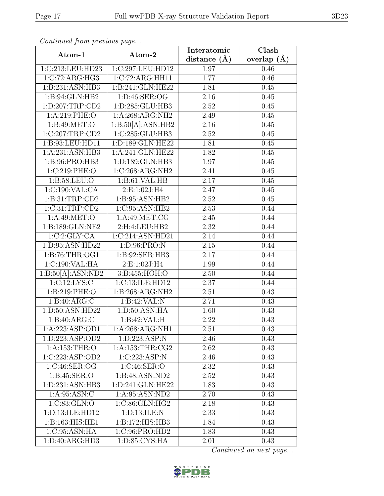| Continued from previous page |                                       | Interatomic       | Clash           |  |
|------------------------------|---------------------------------------|-------------------|-----------------|--|
| Atom-1                       | Atom-2                                | distance $(A)$    | overlap $(\AA)$ |  |
| 1:C:213:LEU:HD23             | 1:C:297:LEU:HD12                      | 1.97              | 0.46            |  |
| 1:C:72:ARG:HG3               | 1:C:72:ARG:HH11                       | 1.77              | 0.46            |  |
| 1:B:231:ASN:HB3              | 1:B:241:GLN:HE22                      | 1.81              | 0.45            |  |
| 1:B:94:GLN:HB2               | 1:D:46:SER:OG                         | $\overline{2}.16$ | 0.45            |  |
| 1: D: 207: TRP: CD2          | 1:D:285:GLU:HB3                       | 2.52              | 0.45            |  |
| 1: A:219: PHE:O              | 1:A:268:ARG:NH2                       | 2.49              | 0.45            |  |
| 1: B:49: MET:O               | 1:B:50[A]:ASN:HB2                     | 2.16              | 0.45            |  |
| $1:C:207$ :TRP:CD2           | 1:C:285:GLU:HB3                       | 2.52              | 0.45            |  |
| 1:B:93:LEU:HD11              | 1:D:189:GLN:HE22                      | 1.81              | 0.45            |  |
| 1:A:231:ASN:HB3              | 1:A:241:GLN:HE22                      | 1.82              | 0.45            |  |
| 1: B:96: PRO:HB3             | 1:D:189:GLN:HB3                       | 1.97              | 0.45            |  |
| 1:C:219:PHE:O                | 1:C:268:ARG:NH2                       | 2.41              | 0.45            |  |
| 1:B:58:LEU:O                 | 1:B:61:VAL:HB                         | 2.17              | 0.45            |  |
| 1:C:190:VAL:CA               | 2:E:1:02J:H4                          | 2.47              | 0.45            |  |
| 1:B:31:TRP:CD2               | 1: B:95: ASN:HB2                      | 2.52              | 0.45            |  |
| 1:C:31:TRP:CD2               | 1:C:95:ASN:HB2                        | 2.53              | 0.44            |  |
| 1: A:49: MET:O               | 1: A:49: MET:CG                       | 2.45              | 0.44            |  |
| 1:B:189:GLN:NE2              | 2:H:4:LEU:HB2                         | 2.32              | 0.44            |  |
| 1:C:2:CLY:CA                 | 1:C:214:ASN:HD21                      | 2.14              | 0.44            |  |
| 1:D:95:ASN:HD22              | 1:D:96:PRO:N                          | 2.15              | 0.44            |  |
| 1:B:76:THR:OG1               | 1:B:92:SER:HB3                        | 2.17              | 0.44            |  |
| 1:C:190:VAL:HA               | 2:E:1:02J:H4                          | 1.99              | 0.44            |  |
| 1:B:50[A]:ASN:ND2            | 3:B:455:HOH:O                         | 2.50              | 0.44            |  |
| 1:C:12:LYS:C                 | 1:C:13:ILE:HD12                       | 2.37              | 0.44            |  |
| 1:B:219:PHE:O                | $1:B:268:A\overline{\mathrm{RG:NH2}}$ | 2.51              | 0.43            |  |
| 1:B:40:ARG:C                 | 1:B:42:VAL:N                          | 2.71              | 0.43            |  |
| 1:D:50:ASN:HD22              | 1: D:50: ASN: HA                      | 1.60              | 0.43            |  |
| 1:B:40:ARG:C                 | 1:B:42:VAL:H                          | 2.22              | 0.43            |  |
| 1:A:223:ASP:OD1              | 1:A:268:ARG:NH1                       | 2.51              | 0.43            |  |
| 1:D:223:ASP:OD2              | 1: D: 223: ASP: N                     | 2.46              | 0.43            |  |
| 1: A: 153: THR:O             | 1: A: 153: THR: CG2                   | 2.62              | 0.43            |  |
| 1:C:223:ASP:OD2              | 1:C:223:ASP:N                         | 2.46              | 0.43            |  |
| 1:C:46:SER:OG                | 1:C:46:SER:O                          | 2.32              | 0.43            |  |
| 1: B:45: SER:O               | 1:B:48:ASN:ND2                        | 2.52              | 0.43            |  |
| 1: D: 231: ASN: HB3          | 1: D:241: GLN: HE22                   | 1.83              | 0.43            |  |
| 1: A:95: ASN: C              | 1: A:95: ASN:ND2                      | 2.70              | 0.43            |  |
| 1:C:83:GLN:O                 | 1:C:86:GLN:HG2                        | 2.18              | 0.43            |  |
| 1:D:13:ILE:HD12              | 1:D:13:ILE:N                          | 2.33              | 0.43            |  |
| 1:B:163:HIS:HE1              | 1:B:172:HIS:HB3                       | 1.84              | 0.43            |  |
| 1:C:95:ASN:HA                | 1:C:96:PRO:HD2                        | 1.83              | 0.43            |  |
| 1:D:40:ARG:HD3               | 1: D:85: CYS:HA                       | 2.01              | 0.43            |  |

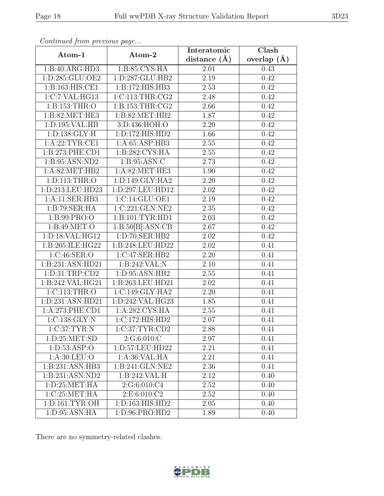| Continueu from pretious page    |                     | Interatomic       | Clash           |  |
|---------------------------------|---------------------|-------------------|-----------------|--|
| Atom-1                          | Atom-2              | distance $(A)$    | overlap $(\AA)$ |  |
| 1:B:40:ARG:HD3                  | 1:B:85:CYS:HA       | 2.01              | 0.43            |  |
| 1:D:285:GLU:OE2                 | 1:D:287:GLU:HB2     | 2.19              | 0.42            |  |
| 1:B:163:HIS:CE1                 | 1:B:172:HIS:HB3     | 2.53              | 0.42            |  |
| 1:C:7:VAL:HG13                  | 1:C:113:THR:CG2     | 2.48              | 0.42            |  |
| 1: B: 153: THR:O                | 1: B: 153: THR: CG2 | 2.66              | 0.42            |  |
| 1:B:82:MET:HE3                  | 1: B:82: MET:HB2    | 1.87              | 0.42            |  |
| 1: D: 195: VAL: HB              | 3:D:436:HOH:O       | 2.20              | 0.42            |  |
| 1: D: 138: GLY: H               | 1: D: 172: HIS: HD2 | 1.66              | 0.42            |  |
| 1:A:22:TYR:CE1                  | 1:A:65:ASP:HB3      | 2.55              | 0.42            |  |
| 1:B:273:PHE:CD1                 | 1:B:282:CYS:HA      | 2.55              | 0.42            |  |
| 1:B:95:ASN:ND2                  | 1: B:95: ASN: C     | 2.73              | 0.42            |  |
| 1:A:82:MET:HB2                  | 1: A:82: MET:HE3    | 1.90              | 0.42            |  |
| 1:D:113:THR:O                   | 1:D:149:GLY:HA2     | 2.20              | 0.42            |  |
| 1:D:213:LEU:HD23                | 1:D:297:LEU:HD12    | 2.02              | 0.42            |  |
| 1:A:11:SER:HB3                  | 1:C:14:GLU:OE1      | 2.19              | 0.42            |  |
| 1:B:79:SER:HA                   | 1:C:221:GLN:NE2     | 2.35              | 0.42            |  |
| 1:B:99:PRO:O                    | 1:B:101:TYR:HD1     | $\overline{2.03}$ | 0.42            |  |
| 1: B:49: MET:O                  | 1:B:50[B]:ASN:CB    | 2.67              | 0.42            |  |
| 1:D:18:VAL:HG12                 | 1:D:70:SER:HB2      | 2.02              | 0.42            |  |
| 1:B:205:ILE:HG22                | 1:B:248:LEU:HD22    | 2.02              | 0.41            |  |
| 1:C:46:SER:O                    | 1:C:47:SER:HB2      | 2.20              | 0.41            |  |
| 1:B:231:ASN:HD21                | 1:B:242:VAL:N       | 2.10              | 0.41            |  |
| 1: D: 31: TRP: CD2              | 1: D:95: ASN:HB2    | 2.55              | 0.41            |  |
| 1:B:242:VAL:HG21                | 1:B:263:LEU:HD21    | 2.02              | 0.41            |  |
| 1: C: 113: THR:O                | 1:C:149:GLY:HA2     | 2.20              | 0.41            |  |
| 1:D:231:ASN:HD21                | 1:D:242:VAL:HG23    | 1.85              | 0.41            |  |
| 1:A:273:PHE:CD1                 | 1:A:282:CYS:HA      | 2.55              | 0.41            |  |
| 1:C:138:GLY:N                   | 1:C:172:HIS:HD2     | 2.07              | 0.41            |  |
| 1:C:37:TYR:N                    | 1:C:37:TYR:CD2      | 2.88              | 0.41            |  |
| 1: D:25: MET:SD                 | 2:G:6:010:C         | 2.97              | 0.41            |  |
| 1: D: 53: ASP: O                | 1:D:57:LEU:HD22     | 2.21              | 0.41            |  |
| 1: A:30: LEU:O                  | 1:A:36:VAL:HA       | 2.21              | 0.41            |  |
| 1:B:231:ASN:HB3                 | 1:B:241:GLN:NE2     | 2.36              | 0.41            |  |
| 1:B:231:ASN:ND2                 | 1:B:242:VAL:H       | 2.12              | 0.40            |  |
| 1: D:25: MET:HA                 | 2:G:6:010:C4        | 2.52              | 0.40            |  |
| 1:C:25:MET:HA                   | 2: E: 6:010: C2     | 2.52              | 0.40            |  |
| $1: D: 161: TYR: \overline{OH}$ | 1:D:163:HIS:HD2     | 2.05              | 0.40            |  |
| 1:D:95:ASN:HA                   | 1:D:96:PRO:HD2      | 1.89              | 0.40            |  |

There are no symmetry-related clashes.

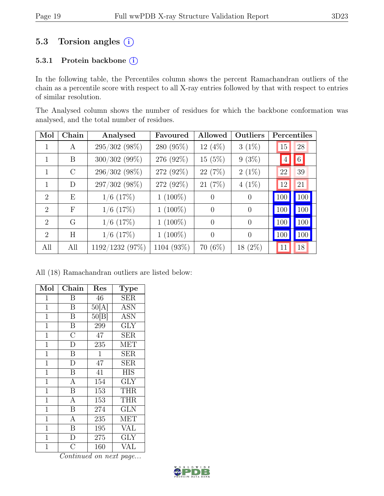## 5.3 Torsion angles  $(i)$

#### 5.3.1 Protein backbone (i)

In the following table, the Percentiles column shows the percent Ramachandran outliers of the chain as a percentile score with respect to all X-ray entries followed by that with respect to entries of similar resolution.

The Analysed column shows the number of residues for which the backbone conformation was analysed, and the total number of residues.

| Mol                         | Chain        | Analysed        | Favoured   | Allowed        | Outliers       | Percentiles    |                 |
|-----------------------------|--------------|-----------------|------------|----------------|----------------|----------------|-----------------|
|                             | A            | 295/302 (98%)   | 280 (95%)  | 12 (4%)        | $3(1\%)$       | 15             | 28              |
|                             | B            | $300/302$ (99%) | 276 (92%)  | 15(5%)         | $9(3\%)$       | $\overline{4}$ | $6\phantom{.}6$ |
| 1                           | $\rm C$      | 296/302 (98%)   | 272 (92%)  | 22(7%)         | $2(1\%)$       | 22             | 39              |
| 1                           | D            | 297/302 (98%)   | 272 (92%)  | 21(7%)         | $4(1\%)$       | 12             | 21              |
| $\mathcal{D}_{\mathcal{L}}$ | Ε            | $1/6$ (17%)     | $1(100\%)$ | $\theta$       | $\theta$       | 100            | 100             |
| $\mathcal{D}_{\mathcal{L}}$ | $\mathbf{F}$ | $1/6$ (17%)     | $1(100\%)$ | $\Omega$       | $\theta$       | 100            | 100             |
| $\mathcal{D}_{\mathcal{L}}$ | G            | $1/6$ (17%)     | $1(100\%)$ | $\overline{0}$ | $\overline{0}$ | 100            | 100             |
| $\mathcal{D}_{\mathcal{L}}$ | Η            | $1/6$ (17%)     | $1(100\%)$ | $\Omega$       | $\theta$       | 100            | 100             |
| All                         | All          | 1192/1232 (97%) | 1104 (93%) | $70(6\%)$      | $18(2\%)$      | 11             | 18              |

All (18) Ramachandran outliers are listed below:

| Mol            | Chain                   | Res          | Type                    |
|----------------|-------------------------|--------------|-------------------------|
| 1              | Β                       | 46           | $\overline{\text{SER}}$ |
| $\mathbf 1$    | B                       | 50[A]        | <b>ASN</b>              |
| $\overline{1}$ | $\overline{\mathrm{B}}$ | 50[B]        | <b>ASN</b>              |
| $\overline{1}$ | $\boldsymbol{B}$        | 299          | <b>GLY</b>              |
| $\mathbf 1$    | $\overline{\rm C}$      | 47           | <b>SER</b>              |
| 1              | $\overline{D}$          | 235          | <b>MET</b>              |
| $\mathbf{1}$   | $\boldsymbol{B}$        | $\mathbf{1}$ | $\operatorname{SER}$    |
| $\mathbf{1}$   | $\overline{D}$          | 47           | $\overline{\text{SER}}$ |
| $\mathbf{1}$   | $\overline{B}$          | 41           | <b>HIS</b>              |
| $\mathbf 1$    | $\overline{\rm A}$      | 154          | <b>GLY</b>              |
| 1              | $\boldsymbol{B}$        | 153          | <b>THR</b>              |
| $\overline{1}$ | $\overline{A}$          | 153          | <b>THR</b>              |
| $\mathbf 1$    | $\overline{\mathrm{B}}$ | 274          | <b>GLN</b>              |
| $\mathbf{1}$   | $\overline{A}$          | 235          | <b>MET</b>              |
| $\mathbf{1}$   | $\overline{\mathrm{B}}$ | 195          | <b>VAL</b>              |
| $\mathbf 1$    | $\overline{D}$          | 275          | <b>GLY</b>              |
| $\overline{1}$ | $\overline{C}$          | 160          | VAL                     |

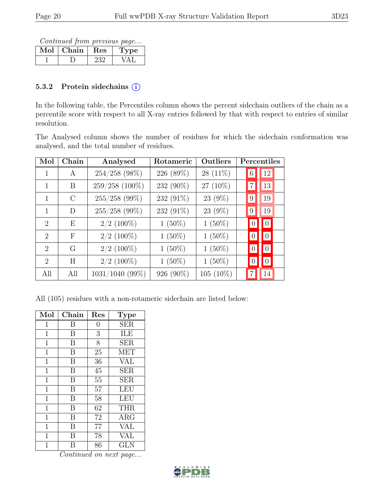Continued from previous page...

| ${\rm Chain}$ | Res | pe. |
|---------------|-----|-----|
|               |     |     |

#### 5.3.2 Protein sidechains (i)

In the following table, the Percentiles column shows the percent sidechain outliers of the chain as a percentile score with respect to all X-ray entries followed by that with respect to entries of similar resolution.

The Analysed column shows the number of residues for which the sidechain conformation was analysed, and the total number of residues.

| Mol                         | Chain         | Analysed        | Rotameric | Outliers  | Percentiles                        |    |
|-----------------------------|---------------|-----------------|-----------|-----------|------------------------------------|----|
|                             | A             | 254/258 (98%)   | 226 (89%) | 28 (11%)  | 6                                  | 12 |
| 1                           | B             | 259/258 (100%)  | 232 (90%) | 27 (10%)  |                                    | 13 |
| 1                           | $\mathcal{C}$ | $255/258$ (99%) | 232 (91%) | 23 (9%)   | 9                                  | 19 |
| 1                           | D             | 255/258 (99%)   | 232 (91%) | 23 (9%)   | 9                                  | 19 |
| $\mathcal{D}_{\mathcal{L}}$ | E             | $2/2$ (100%)    | $1(50\%)$ | $1(50\%)$ | $\vert 0 \vert$<br>$\vert 0 \vert$ |    |
| $\overline{2}$              | $\mathbf{F}$  | $2/2$ (100%)    | $1(50\%)$ | $1(50\%)$ | $\vert 0 \vert$<br>$\vert 0 \vert$ |    |
| $\mathcal{D}_{\mathcal{L}}$ | G             | $2/2$ (100%)    | $1(50\%)$ | $1(50\%)$ | $\vert 0 \vert$<br>$\vert 0 \vert$ |    |
| $\overline{2}$              | H             | $2/2$ (100%)    | $1(50\%)$ | $1(50\%)$ | $\overline{0}$                     |    |
| All                         | All           | 1031/1040 (99%) | 926 (90%) | 105 (10%) |                                    | 14 |

All (105) residues with a non-rotameric sidechain are listed below:

| Mol            | Chain | Res            | Type       |
|----------------|-------|----------------|------------|
| $\overline{1}$ | B     | 0              | <b>SER</b> |
| $\mathbf 1$    | B     | 3              | ILE        |
| $\overline{1}$ | B     | $\overline{8}$ | <b>SER</b> |
| $\overline{1}$ | B     | 25             | <b>MET</b> |
| $\overline{1}$ | B     | 36             | <b>VAL</b> |
| $\mathbf{1}$   | B     | 45             | <b>SER</b> |
| $\overline{1}$ | B     | 55             | <b>SER</b> |
| $\overline{1}$ | B     | 57             | <b>LEU</b> |
| $\mathbf{1}$   | B     | 58             | LEU        |
| 1              | B     | 62             | <b>THR</b> |
| 1              | В     | 72             | $\rm{ARG}$ |
| 1              | B     | 77             | VAL        |
| 1              | B     | 78             | VAL        |
| 1              | В     | 86             | GLN        |

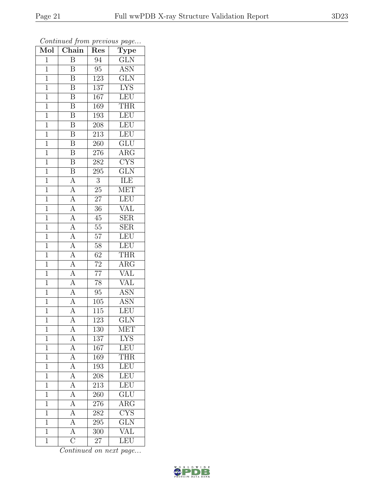| $\overline{\text{Mol}}$ | Chain                               | Res              | contenuou prom procto do pago<br>$\mathrm{\overline{Type}}$ |
|-------------------------|-------------------------------------|------------------|-------------------------------------------------------------|
| $\mathbf{1}$            | $\overline{B}$                      | 94               | GLN                                                         |
| $\mathbf{1}$            | $\boldsymbol{B}$                    | $\overline{95}$  | ASN                                                         |
| $\overline{1}$          | $\overline{\mathrm{B}}$             | 123              | $\overline{\text{GLN}}$                                     |
| $\mathbf{1}$            | $\boldsymbol{B}$                    | $\overline{1}37$ | <b>LYS</b>                                                  |
| $\overline{1}$          | $\overline{\mathrm{B}}$             | 167              | LEU                                                         |
| $\mathbf{1}$            | $\overline{\mathrm{B}}$             | 169              | THR                                                         |
| $\overline{1}$          | $\boldsymbol{B}$                    | 193              | LEU                                                         |
| $\mathbf{1}$            | $\overline{\mathrm{B}}$             | 208              | LEU                                                         |
| $\mathbf{1}$            | $\bar{\text{B}}$                    | 213              | LEU                                                         |
| $\overline{1}$          | $\overline{\mathbf{B}}$             | 260              | $\overline{\text{GLU}}$                                     |
| $\mathbf 1$             | B                                   | $276\,$          | ARG                                                         |
| $\overline{1}$          | $\overline{\mathrm{B}}$             | 282              | $\overline{\text{CYS}}$                                     |
| $\overline{1}$          | $\overline{\mathbf{B}}$             | 295              | GLN                                                         |
| $\mathbf 1$             | $\overline{A}$                      | $\overline{3}$   | <b>ILE</b>                                                  |
| $\mathbf{1}$            | $\overline{A}$                      | $25\,$           | <b>MET</b>                                                  |
| $\overline{1}$          | $\overline{A}$                      | $\overline{27}$  | LEU                                                         |
| $\overline{1}$          | $\frac{\overline{A}}{\overline{A}}$ | $\overline{36}$  | $\overline{\text{VAL}}$                                     |
| $\mathbf{1}$            |                                     | 45               | <b>SER</b>                                                  |
| $\mathbf{1}$            | $\overline{A}$                      | $\overline{55}$  | <b>SER</b>                                                  |
| $\mathbf{1}$            | $\overline{A}$                      | $\overline{57}$  | <b>LEU</b>                                                  |
| $\mathbf{1}$            | $\frac{1}{A}$                       | 58               | <b>LEU</b>                                                  |
| $\overline{1}$          | $\overline{A}$                      | $\overline{62}$  | <b>THR</b>                                                  |
| $\mathbf{1}$            | $\frac{\overline{A}}{\overline{A}}$ | $72\,$           | $\rm{ARG}$                                                  |
| $\mathbf{1}$            |                                     | $\overline{77}$  | $\overline{\text{VAL}}$                                     |
| $\mathbf{1}$            | $\overline{A}$                      | 78               | <b>VAL</b>                                                  |
| $\overline{1}$          | $\overline{A}$                      | $95\,$           | <b>ASN</b>                                                  |
| $\mathbf{1}$            | $\overline{A}$                      | 105              | <b>ASN</b>                                                  |
| $\mathbf 1$             | $\overline{A}$                      | 115              | LEU                                                         |
| $\overline{1}$          | $\overline{\rm A}$                  | 123              | $\overline{\text{GLN}}$                                     |
| 1                       | А                                   | 130              | <b>MET</b>                                                  |
| $\mathbf 1$             | $\overline{A}$                      | 137              | <b>LYS</b>                                                  |
| $\mathbf{1}$            | $\overline{A}$                      | 167              | LEU                                                         |
| $\mathbf 1$             | $\overline{A}$                      | 169              | $\overline{\text{THR}}$                                     |
| $\mathbf{1}$            | $\overline{A}$                      | 193              | LEU                                                         |
| $\mathbf{1}$            | $\overline{A}$                      | 208              | LEU                                                         |
| $\overline{1}$          | $\frac{\overline{A}}{\overline{A}}$ | $2\overline{13}$ | LEU                                                         |
| $\mathbf 1$             |                                     | 260              | $\overline{\text{GLU}}$                                     |
| $\mathbf{1}$            | $\overline{A}$                      | 276              | $\rm{ARG}$                                                  |
| $\mathbf{1}$            | $\overline{A}$                      | 282              | $\overline{\text{CYS}}$                                     |
| $\mathbf{1}$            | $\overline{A}$                      | 295              | $\overline{\text{GLN}}$                                     |
| $\overline{1}$          | $\overline{A}$                      | 300              | $\overline{\text{VAL}}$                                     |
| $\mathbf 1$             | $\overline{\rm C}$                  | 27               | LEU                                                         |

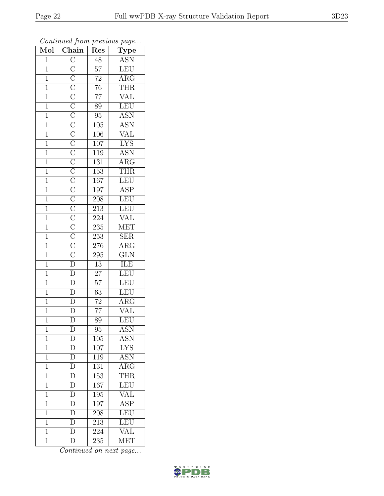| Mol            | $\overline{\text{Chain}}$                                                                     | Res              | $r \sim \mathcal{I} \sim \mathcal{I}$<br>Type |  |
|----------------|-----------------------------------------------------------------------------------------------|------------------|-----------------------------------------------|--|
| $\mathbf{1}$   |                                                                                               | 48               | <b>ASN</b>                                    |  |
| $\mathbf{1}$   |                                                                                               | $57\,$           | LEU                                           |  |
| $\mathbf{1}$   |                                                                                               | $\overline{72}$  | $\overline{\text{ARG}}$                       |  |
| $\overline{1}$ |                                                                                               | $\overline{76}$  | <b>THR</b>                                    |  |
| $\overline{1}$ |                                                                                               | $\overline{77}$  | $\overline{\text{VAL}}$                       |  |
| $\mathbf 1$    |                                                                                               | 89               | LEU                                           |  |
| $\mathbf{1}$   |                                                                                               | $95\,$           | <b>ASN</b>                                    |  |
| $\overline{1}$ |                                                                                               | 105              | <b>ASN</b>                                    |  |
| $\overline{1}$ |                                                                                               | 106              |                                               |  |
| $\overline{1}$ |                                                                                               | $\overline{107}$ | $\frac{\text{VAL}}{\text{LYS}}$               |  |
| $\mathbf{1}$   |                                                                                               | 119              | <b>ASN</b>                                    |  |
| $\overline{1}$ |                                                                                               | $\overline{131}$ | $\overline{\rm{ARG}}$                         |  |
| $\mathbf{1}$   |                                                                                               | 153              | <b>THR</b>                                    |  |
| $\overline{1}$ |                                                                                               | 167              | LEU                                           |  |
| $\mathbf{1}$   |                                                                                               | 197              | $\overline{\rm ASP}$                          |  |
| $\mathbf 1$    |                                                                                               | 208              | LEU                                           |  |
| $\overline{1}$ |                                                                                               | $\overline{213}$ | LEU                                           |  |
| $\mathbf{1}$   |                                                                                               | 224              | <b>VAL</b>                                    |  |
| $\overline{1}$ |                                                                                               | 235              | MET                                           |  |
| $\mathbf{1}$   |                                                                                               | 253              | $\overline{\text{SER}}$                       |  |
| $\mathbf{1}$   |                                                                                               | 276              | $\rm{ARG}$                                    |  |
| $\mathbf{1}$   |                                                                                               | 295              | $\overline{\text{GLN}}$                       |  |
| $\mathbf{1}$   |                                                                                               | 13               | <b>ILE</b>                                    |  |
| $\overline{1}$ |                                                                                               | $\overline{27}$  | LEU                                           |  |
| $\overline{1}$ |                                                                                               | $\overline{57}$  | LEU                                           |  |
| $\mathbf{1}$   |                                                                                               | 63               | LEU                                           |  |
| $\overline{1}$ |                                                                                               | $\overline{72}$  | $\overline{\text{ARG}}$                       |  |
| $\overline{1}$ | $\overline{\rm D}$                                                                            | $\overline{77}$  | <b>VAL</b>                                    |  |
| $\overline{1}$ | $\overline{\rm D}$                                                                            | $\overline{89}$  | LEU                                           |  |
| 1              | $\mathbf{D}$                                                                                  | 95               | ASN                                           |  |
| $\mathbf 1$    | $\overline{D}$                                                                                | 105              | ASN                                           |  |
| $\mathbf{1}$   |                                                                                               | 107              | $\overline{\text{LYS}}$                       |  |
| $\overline{1}$ | $\overline{\rm D}$                                                                            | 119              | <b>ASN</b>                                    |  |
| $\mathbf 1$    | $\overline{\rm D}$                                                                            | 131              | $\overline{\text{ARG}}$                       |  |
| $\mathbf{1}$   | $\overline{D}$                                                                                | 153              | THR                                           |  |
| $\mathbf{1}$   |                                                                                               | 167              | LEU                                           |  |
| $\mathbf{1}$   | $\overline{\rm D}$                                                                            | 195              | VAL                                           |  |
| $\mathbf{1}$   | $\overline{\rm D}$                                                                            | 197              | <b>ASP</b>                                    |  |
| $\mathbf{1}$   | $\overline{D}$                                                                                | 208              | LEU                                           |  |
| $\mathbf 1$    | $\overline{D}$                                                                                | 213              | LEU                                           |  |
| $\mathbf{1}$   | $\overline{\rm D}$                                                                            | 224              | $\overline{\text{VAL}}$                       |  |
| $\mathbf{1}$   | $\overline{\rm D}$                                                                            | 235              | <b>MET</b>                                    |  |
|                | $\overline{\rm D}$<br>$\frac{\overline{D}}{\overline{D}}$<br>$\overline{D}$<br>$\overline{D}$ |                  |                                               |  |

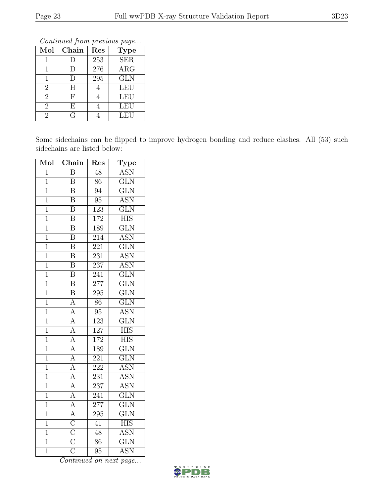Continued from previous page...

| Mol            | Chain | Res              | <b>Type</b> |
|----------------|-------|------------------|-------------|
|                |       | 253              | <b>SER</b>  |
|                | D     | 276              | ARG         |
|                | D     | $\overline{295}$ | <b>GLN</b>  |
| $\overline{2}$ | H     |                  | <b>LEU</b>  |
| $\overline{2}$ | F     |                  | <b>LEU</b>  |
| $\overline{2}$ | E     |                  | <b>LEU</b>  |
| $\mathfrak{D}$ | G     |                  | <b>LEU</b>  |

Some sidechains can be flipped to improve hydrogen bonding and reduce clashes. All (53) such sidechains are listed below:

| Mol            | Chain                               | Res              | Type                      |  |
|----------------|-------------------------------------|------------------|---------------------------|--|
| $\overline{1}$ | $\overline{\mathrm{B}}$             | $\overline{48}$  | <b>ASN</b>                |  |
| $\overline{1}$ | $\overline{\mathrm{B}}$             | $\overline{86}$  | $\overline{\text{GLN}}$   |  |
| $\overline{1}$ | $\overline{\mathbf{B}}$             | 94               | $\overline{\text{GLN}}$   |  |
| $\overline{1}$ | $\overline{\mathrm{B}}$             | $\overline{95}$  | $\overline{\text{ASN}}$   |  |
| $\overline{1}$ | $\overline{\mathrm{B}}$             | 123              | $\overline{\text{GLN}}$   |  |
| $\overline{1}$ | $\overline{\mathrm{B}}$             | 172              | $\overline{\text{HIS}}$   |  |
| $\overline{1}$ | $\overline{\mathrm{B}}$             | 189              | $\overline{\text{GLN}}$   |  |
| $\overline{1}$ | $\overline{\mathrm{B}}$             | 214              | <b>ASN</b>                |  |
| $\overline{1}$ | $\overline{\mathrm{B}}$             | $\overline{221}$ | $\overline{\text{GLN}}$   |  |
| $\overline{1}$ | $\overline{\mathrm{B}}$             | $\overline{231}$ | <b>ASN</b>                |  |
| $\overline{1}$ | $\overline{\mathrm{B}}$             | 237              | <b>ASN</b>                |  |
| $\overline{1}$ | $\overline{\mathrm{B}}$             | $\overline{241}$ | $\overline{\text{GLN}}$   |  |
| $\mathbf 1$    | $\overline{\mathrm{B}}$             | 277              | $\overline{\text{GLN}}$   |  |
| $\overline{1}$ | $\overline{\mathbf{B}}$             | $\overline{295}$ | $\overline{\text{GLN}}$   |  |
| $\overline{1}$ | $\overline{A}$                      | $\overline{86}$  | $\overline{\text{GLN}}$   |  |
| $\overline{1}$ | $\overline{A}$                      | $\overline{95}$  | <b>ASN</b>                |  |
| $\overline{1}$ | $\frac{\overline{A}}{\overline{A}}$ | $\overline{123}$ | $\overline{\text{GLN}}$   |  |
| $\overline{1}$ |                                     | 127              | <b>HIS</b>                |  |
| $\overline{1}$ | $\overline{A}$                      | 172              | $\overline{\rm HIS}$      |  |
| $\overline{1}$ | $\frac{\overline{A}}{\overline{A}}$ | 189              | <b>GLN</b>                |  |
| $\overline{1}$ |                                     | 221              | $\overline{\text{GLN}}$   |  |
| $\overline{1}$ | $\frac{\overline{A}}{\overline{A}}$ | $\overline{222}$ | <b>ASN</b>                |  |
| $\mathbf{1}$   |                                     | $\overline{231}$ | <b>ASN</b>                |  |
| $\overline{1}$ | $\overline{A}$                      | $\overline{237}$ | <b>ASN</b>                |  |
| $\overline{1}$ | $\frac{\overline{A}}{\overline{A}}$ | 241              | $\overline{\text{GLN}}$   |  |
| $\overline{1}$ |                                     | 277              | $\overline{\text{GLN}}$   |  |
| $\overline{1}$ | $\overline{A}$                      | 295              | $\overline{\text{GLN}}$   |  |
| $\overline{1}$ | $\frac{\overline{C}}{\overline{C}}$ | $\overline{41}$  | <b>HIS</b>                |  |
| $\overline{1}$ |                                     | $\overline{48}$  | $\overline{\mathrm{ASN}}$ |  |
| $\overline{1}$ |                                     | $\overline{86}$  | $\overline{\text{GLN}}$   |  |
| $\overline{1}$ | $\overline{\rm C}$                  | $\overline{95}$  | <b>ASN</b>                |  |

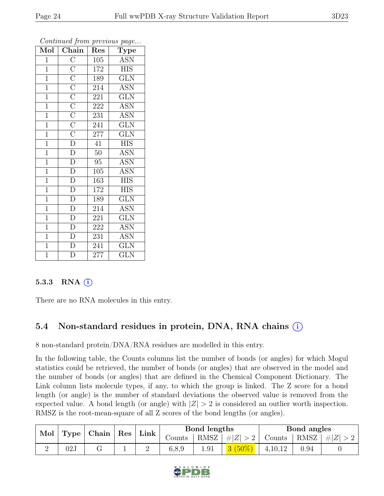| Mol            | Chain                                                                                                                        | Res              | Type                    |
|----------------|------------------------------------------------------------------------------------------------------------------------------|------------------|-------------------------|
| $\mathbf{1}$   | $\overline{\mathrm{C}}$                                                                                                      | 105              | <b>ASN</b>              |
| $\mathbf{1}$   |                                                                                                                              | 172              | <b>HIS</b>              |
| $\overline{1}$ |                                                                                                                              | 189              | <b>GLN</b>              |
| $\mathbf{1}$   |                                                                                                                              | 214              | <b>ASN</b>              |
| $\mathbf{1}$   |                                                                                                                              | 221              | $\overline{\text{GLN}}$ |
| $\overline{1}$ |                                                                                                                              | 222              | <b>ASN</b>              |
| $\overline{1}$ | $\overline{\frac{C}{C}}$ $\overline{\frac{C}{C}}$ $\overline{\frac{C}{C}}$ $\overline{\frac{C}{C}}$ $\overline{\frac{C}{D}}$ | 231              | <b>ASN</b>              |
| $\overline{1}$ |                                                                                                                              | 241              | <b>GLN</b>              |
| $\overline{1}$ |                                                                                                                              | $\overline{2}77$ | <b>GLN</b>              |
| $\overline{1}$ |                                                                                                                              | 41               | <b>HIS</b>              |
| $\overline{1}$ | $\overline{D}$                                                                                                               | $\overline{50}$  | <b>ASN</b>              |
| $\overline{1}$ | $\overline{D}$                                                                                                               | 95               | $\overline{ASN}$        |
| $\mathbf{1}$   | $\overline{D}$                                                                                                               | 105              | <b>ASN</b>              |
| $\mathbf{1}$   | $\overline{\rm D}$                                                                                                           | <sup>163</sup>   | <b>HIS</b>              |
| $\overline{1}$ | $\overline{D}$                                                                                                               | 172              | <b>HIS</b>              |
| $\mathbf{1}$   | $\frac{\overline{D}}{D}$                                                                                                     | 189              | <b>GLN</b>              |
| $\overline{1}$ |                                                                                                                              | 214              | <b>ASN</b>              |
| $\mathbf{1}$   | $\overline{D}$                                                                                                               | 221              | <b>GLN</b>              |
| $\mathbf{1}$   | $\overline{D}$                                                                                                               | 222              | <b>ASN</b>              |
| $\mathbf{1}$   | $\overline{D}$                                                                                                               | 231              | <b>ASN</b>              |
| $\overline{1}$ | $\overline{\rm D}$                                                                                                           | 241              | <b>GLN</b>              |
| $\overline{1}$ | $\overline{\rm D}$                                                                                                           | 277              | $\overline{\text{GLN}}$ |

#### 5.3.3 RNA  $(i)$

There are no RNA molecules in this entry.

## 5.4 Non-standard residues in protein, DNA, RNA chains (i)

8 non-standard protein/DNA/RNA residues are modelled in this entry.

In the following table, the Counts columns list the number of bonds (or angles) for which Mogul statistics could be retrieved, the number of bonds (or angles) that are observed in the model and the number of bonds (or angles) that are defined in the Chemical Component Dictionary. The Link column lists molecule types, if any, to which the group is linked. The Z score for a bond length (or angle) is the number of standard deviations the observed value is removed from the expected value. A bond length (or angle) with  $|Z| > 2$  is considered an outlier worth inspection. RMSZ is the root-mean-square of all Z scores of the bond lengths (or angles).

| Mol<br>Type |     | Chain |  |  |        |      |           |           |          | $\vert$ Res | Link |  | Bond lengths |  |  | Bond angles |  |
|-------------|-----|-------|--|--|--------|------|-----------|-----------|----------|-------------|------|--|--------------|--|--|-------------|--|
|             |     |       |  |  | Counts | RMSZ | , $\# Z $ | Counts    | RMSZ     | $\pm  Z $   |      |  |              |  |  |             |  |
|             | 02J |       |  |  | 6.8.9  | 1.91 |           | 4, 10, 12 | $0.94\,$ |             |      |  |              |  |  |             |  |

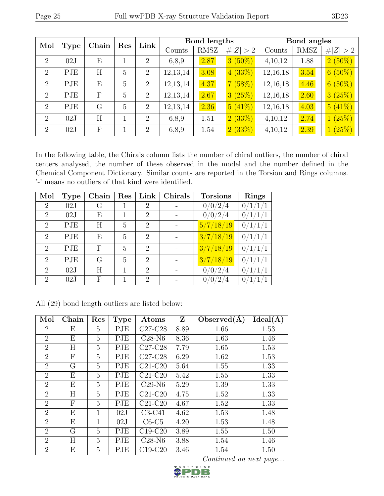|                | Mol<br><b>Type</b> |              | Res | Link           |             | Bond lengths |           |             | Bond angles |           |
|----------------|--------------------|--------------|-----|----------------|-------------|--------------|-----------|-------------|-------------|-----------|
|                | Chain              |              |     | Counts         | <b>RMSZ</b> | Z >2<br>$\#$ | Counts    | <b>RMSZ</b> | # $ Z  > 2$ |           |
| 2              | 02J                | E            |     | $\overline{2}$ | 6,8,9       | 2.87         | $3(50\%)$ | 4,10,12     | 1.88        | $2(50\%)$ |
| $\overline{2}$ | PJE                | H            | 5   | $\overline{2}$ | 12, 13, 14  | 3.08         | 4(33%)    | 12,16,18    | 3.54        | $6(50\%)$ |
| $\overline{2}$ | PJE                | E            | 5   | $\overline{2}$ | 12, 13, 14  | 4.37         | 7(58%)    | 12,16,18    | 4.46        | $6(50\%)$ |
| $\overline{2}$ | PJE                | $\mathbf{F}$ | 5   | 2              | 12, 13, 14  | 2.67         | 3(25%)    | 12,16,18    | 2.60        | 3(25%)    |
| $\overline{2}$ | PJE                | G            | 5   | $\overline{2}$ | 12, 13, 14  | 2.36         | 5(41%)    | 12,16,18    | 4.03        | 5(41%)    |
| $\overline{2}$ | 02J                | H            |     | 2              | 6,8,9       | 1.51         | 2(33%)    | 4,10,12     | 2.74        | 1(25%)    |
| $\overline{2}$ | 02J                | $\mathbf{F}$ |     | 2              | 6,8,9       | 1.54         | 2(33%)    | 4,10,12     | 2.39        | 1(25%)    |

In the following table, the Chirals column lists the number of chiral outliers, the number of chiral centers analysed, the number of these observed in the model and the number defined in the Chemical Component Dictionary. Similar counts are reported in the Torsion and Rings columns. '-' means no outliers of that kind were identified.

| Mol            | <b>Type</b> | Chain | $\operatorname{Res}% \left( \mathcal{N}\right) \equiv\operatorname{Res}(\mathcal{N}_{0})\cap\mathcal{N}_{1}$ | Link                        | Chirals | <b>Torsions</b> | Rings   |
|----------------|-------------|-------|--------------------------------------------------------------------------------------------------------------|-----------------------------|---------|-----------------|---------|
| $\overline{2}$ | 02J         | G     | 1                                                                                                            | $\overline{2}$              |         | 0/0/2/4         | 0/1/1/1 |
| $\overline{2}$ | 02J         | E     | 1                                                                                                            | $\overline{2}$              |         | 0/0/2/4         | 0/1/1/1 |
| 2              | PJE         | H     | 5                                                                                                            | $\overline{2}$              |         | 5/7/18/19       | 0/1/1/1 |
| $\overline{2}$ | PJE         | E     | 5                                                                                                            | $\overline{2}$              |         | 3/7/18/19       | 0/1/1/1 |
| $\overline{2}$ | PJE         | F     | 5                                                                                                            | $\overline{2}$              |         | 3/7/18/19       | 0/1/1/1 |
| $\overline{2}$ | PJE         | G     | 5                                                                                                            | $\overline{2}$              |         | 3/7/18/19       | 0/1/1/1 |
| $\overline{2}$ | 02J         | Η     |                                                                                                              | $\mathcal{D}_{\mathcal{L}}$ |         | 0/0/2/4         | 0/1     |
| 2              | 02J         | F     |                                                                                                              | $\overline{2}$              |         | 0/0/2/4         | 0/1     |

|  |  | All (29) bond length outliers are listed below: |  |  |
|--|--|-------------------------------------------------|--|--|
|  |  |                                                 |  |  |

| Mol            | Chain | Res            | <b>Type</b> | Atoms     | Z    | Observed $(A)$ | Ideal(A) |
|----------------|-------|----------------|-------------|-----------|------|----------------|----------|
| 2              | Е     | 5              | PJE         | $C27-C28$ | 8.89 | 1.66           | 1.53     |
| $\overline{2}$ | E     | 5              | PJE         | $C28-N6$  | 8.36 | 1.63           | 1.46     |
| $\overline{2}$ | Η     | 5              | PJE         | $C27-C28$ | 7.79 | 1.65           | 1.53     |
| $\overline{2}$ | F     | 5              | PJE         | $C27-C28$ | 6.29 | 1.62           | 1.53     |
| $\overline{2}$ | G     | 5              | PJE         | $C21-C20$ | 5.64 | 1.55           | 1.33     |
| $\overline{2}$ | Ε     | 5              | PJE         | $C21-C20$ | 5.42 | 1.55           | 1.33     |
| $\overline{2}$ | Ε     | 5              | PJE         | $C29-N6$  | 5.29 | 1.39           | 1.33     |
| $\overline{2}$ | H     | 5              | PJE         | $C21-C20$ | 4.75 | 1.52           | 1.33     |
| $\overline{2}$ | F     | 5              | PJE         | $C21-C20$ | 4.67 | 1.52           | 1.33     |
| $\overline{2}$ | Ε     | 1              | 02J         | $C3-C41$  | 4.62 | 1.53           | 1.48     |
| $\overline{2}$ | E     | 1              | 02J         | $C6-C5$   | 4.20 | 1.53           | 1.48     |
| $\overline{2}$ | G     | 5              | PJE         | $C19-C20$ | 3.89 | 1.55           | 1.50     |
| $\overline{2}$ | H     | $\overline{5}$ | PJE         | $C28-N6$  | 3.88 | 1.54           | 1.46     |
| $\overline{2}$ | Ε     | 5              | PJE         | $C19-C20$ | 3.46 | 1.54           | 1.50     |

Continued on next page...<br>  $\sum_{\text{para}}^{\text{D W I DE}}$ 

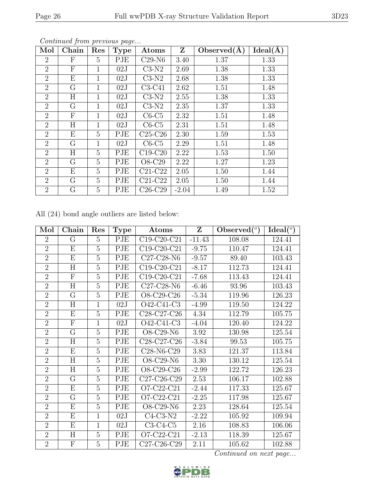| Mol            | Chain                     | Res          | <b>Type</b> | Atoms     | Z       | Observed $(\AA)$ | Ideal(A) |
|----------------|---------------------------|--------------|-------------|-----------|---------|------------------|----------|
| $\overline{2}$ | F                         | 5            | PJE         | $C29-N6$  | 3.40    | 1.37             | 1.33     |
| $\overline{2}$ | F                         | 1            | 02J         | $C3-N2$   | 2.69    | 1.38             | 1.33     |
| $\overline{2}$ | E                         | $\mathbf{1}$ | 02J         | $C3-N2$   | 2.68    | 1.38             | 1.33     |
| $\overline{2}$ | G                         | 1            | 02J         | $C3-C41$  | 2.62    | 1.51             | 1.48     |
| $\overline{2}$ | H                         | 1            | 02J         | $C3-N2$   | 2.55    | 1.38             | 1.33     |
| $\overline{2}$ | G                         | $\mathbf{1}$ | 02J         | $C3-N2$   | 2.35    | 1.37             | 1.33     |
| $\overline{2}$ | $\boldsymbol{\mathrm{F}}$ | $\mathbf{1}$ | 02J         | $C6-C5$   | 2.32    | 1.51             | 1.48     |
| $\overline{2}$ | H                         | 1            | 02J         | $C6-C5$   | 2.31    | 1.51             | 1.48     |
| $\overline{2}$ | E                         | 5            | PJE         | $C25-C26$ | 2.30    | 1.59             | 1.53     |
| $\overline{2}$ | G                         | 1            | 02J         | $C6-C5$   | 2.29    | 1.51             | 1.48     |
| $\overline{2}$ | H                         | 5            | PJE         | $C19-C20$ | 2.22    | 1.53             | 1.50     |
| $\overline{2}$ | G                         | 5            | PJE         | O8-C29    | 2.22    | 1.27             | 1.23     |
| $\overline{2}$ | E                         | 5            | PJE         | $C21-C22$ | 2.05    | 1.50             | 1.44     |
| $\overline{2}$ | G                         | 5            | PJE         | $C21-C22$ | 2.05    | 1.50             | 1.44     |
| $\overline{2}$ | G                         | 5            | PJE         | $C26-C29$ | $-2.04$ | 1.49             | 1.52     |

All (24) bond angle outliers are listed below:

| Mol            | Chain                   | Res            | <b>Type</b> | Atoms                                             | Z        | Observed $(°)$ | $Ideal(^o)$ |
|----------------|-------------------------|----------------|-------------|---------------------------------------------------|----------|----------------|-------------|
| $\overline{2}$ | G                       | $\overline{5}$ | PJE         | $\overline{C19}$ -C20-C21                         | $-11.43$ | 108.08         | 124.41      |
| $\overline{2}$ | E                       | 5              | PJE         | C19-C20-C21                                       | $-9.75$  | 110.47         | 124.41      |
| $\overline{2}$ | E                       | $\overline{5}$ | PJE         | C27-C28-N6                                        | $-9.57$  | 89.40          | 103.43      |
| $\overline{2}$ | H                       | $\overline{5}$ | PJE         | $C19-C20-C21$                                     | $-8.17$  | 112.73         | 124.41      |
| $\overline{2}$ | F                       | 5              | PJE         | C19-C20-C21                                       | $-7.68$  | 113.43         | 124.41      |
| $\overline{2}$ | $H_{\rm}$               | 5              | PJE         | $C27-C28-N6$                                      | $-6.46$  | 93.96          | 103.43      |
| $\overline{2}$ | G                       | $\overline{5}$ | PJE         | O8-C29-C26                                        | $-5.34$  | 119.96         | 126.23      |
| $\overline{2}$ | H                       | $\mathbf{1}$   | 02J         | O42-C41-C3                                        | $-4.99$  | 119.50         | 124.22      |
| $\overline{2}$ | E                       | 5              | PJE         | C <sub>28</sub> -C <sub>27</sub> -C <sub>26</sub> | 4.34     | 112.79         | 105.75      |
| $\overline{2}$ | $\overline{\mathrm{F}}$ | $\mathbf{1}$   | 02J         | O42-C41-C3                                        | $-4.04$  | 120.40         | 124.22      |
| $\overline{2}$ | G                       | 5              | PJE         | O8-C29-N6                                         | $3.92\,$ | 130.98         | 125.54      |
| $\overline{2}$ | H                       | $\overline{5}$ | PJE         | C <sub>28</sub> -C <sub>27</sub> -C <sub>26</sub> | $-3.84$  | 99.53          | 105.75      |
| $\overline{2}$ | E                       | $\overline{5}$ | PJE         | C28-N6-C29                                        | 3.83     | 121.37         | 113.84      |
| $\overline{2}$ | H                       | $\overline{5}$ | PJE         | O8-C29-N6                                         | 3.30     | 130.12         | 125.54      |
| $\overline{2}$ | $\overline{\rm H}$      | $\overline{5}$ | PJE         | O8-C29-C26                                        | $-2.99$  | 122.72         | 126.23      |
| $\overline{2}$ | $\overline{G}$          | $\overline{5}$ | PJE         | C27-C26-C29                                       | 2.53     | 106.17         | 102.88      |
| $\overline{2}$ | Е                       | $\overline{5}$ | PJE         | O7-C22-C21                                        | $-2.44$  | 117.33         | 125.67      |
| $\overline{2}$ | G                       | $\overline{5}$ | PJE         | O7-C22-C21                                        | $-2.25$  | 117.98         | 125.67      |
| $\overline{2}$ | E                       | $\overline{5}$ | PJE         | O8-C29-N6                                         | 2.23     | 128.64         | 125.54      |
| $\overline{2}$ | E                       | $\mathbf{1}$   | 02J         | $C4-C3-N2$                                        | $-2.22$  | 105.92         | 109.94      |
| $\overline{2}$ | E                       | $\mathbf{1}$   | 02J         | $C3-C4-C5$                                        | 2.16     | 108.83         | 106.06      |
| $\overline{2}$ | H                       | $\overline{5}$ | PJE         | O7-C22-C21                                        | $-2.13$  | 118.39         | 125.67      |
| $\overline{2}$ | F                       | 5              | PJE         | C27-C26-C29                                       | 2.11     | 105.62         | 102.88      |

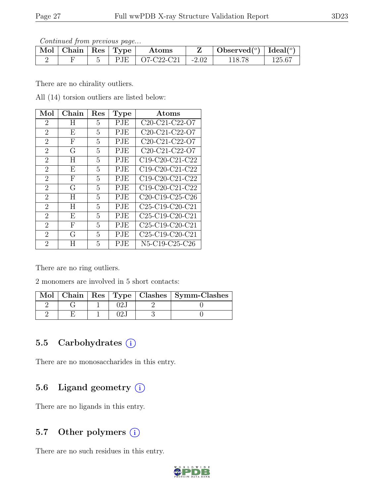Continued from previous page...

| $\mathbb{N}$ ol   Chain   Res   Type |  | Atoms              |                     | $\left[\text{Observed}({}^o\right) \mid \text{Ideal}({}^o\right)$ |        |
|--------------------------------------|--|--------------------|---------------------|-------------------------------------------------------------------|--------|
|                                      |  | $PIE$   O7-C22-C21 | $\vert -2.02 \vert$ |                                                                   | 125.67 |

There are no chirality outliers.

All (14) torsion outliers are listed below:

| Mol            | Chain | Res | <b>Type</b> | $\rm{Atoms}$                                                       |
|----------------|-------|-----|-------------|--------------------------------------------------------------------|
| $\overline{2}$ | H     | 5   | PJE         | C20-C21-C22-O7                                                     |
| $\overline{2}$ | E     | 5   | PJE         | C <sub>20</sub> -C <sub>21</sub> -C <sub>22</sub> -O <sub>7</sub>  |
| $\overline{2}$ | F     | 5   | PJE         | C <sub>20</sub> -C <sub>21</sub> -C <sub>22</sub> -O <sub>7</sub>  |
| $\overline{2}$ | G     | 5   | PJE         | C <sub>20</sub> -C <sub>21</sub> -C <sub>22</sub> -O <sub>7</sub>  |
| $\overline{2}$ | Η     | 5   | PJE         | C19-C20-C21-C22                                                    |
| $\overline{2}$ | E     | 5   | PJE         | C19-C20-C21-C22                                                    |
| $\overline{2}$ | F     | 5   | PJE         | C <sub>19</sub> -C <sub>20</sub> -C <sub>21</sub> -C <sub>22</sub> |
| $\overline{2}$ | G     | 5   | PJE         | C19-C20-C21-C22                                                    |
| $\overline{2}$ | Η     | 5   | PJE         | C <sub>20</sub> -C <sub>19</sub> -C <sub>25</sub> -C <sub>26</sub> |
| $\overline{2}$ | H     | 5   | PJE         | $C25-C19-C20-C21$                                                  |
| $\overline{2}$ | E     | 5   | PJE         | C <sub>25</sub> -C <sub>19</sub> -C <sub>20</sub> -C <sub>21</sub> |
| $\overline{2}$ | F     | 5   | <b>PJE</b>  | $C25-C19-C20-C21$                                                  |
| $\overline{2}$ | G     | 5   | PJE         | C <sub>25</sub> -C <sub>19</sub> -C <sub>20</sub> -C <sub>21</sub> |
| $\overline{2}$ | H     | 5   | $\rm PJE$   | N5-C19-C25-C26                                                     |

There are no ring outliers.

2 monomers are involved in 5 short contacts:

|  |    | Mol   Chain   Res   Type   Clashes   Symm-Clashes |
|--|----|---------------------------------------------------|
|  |    |                                                   |
|  | າາ |                                                   |

#### 5.5 Carbohydrates  $(i)$

There are no monosaccharides in this entry.

## 5.6 Ligand geometry  $(i)$

There are no ligands in this entry.

#### 5.7 Other polymers (i)

There are no such residues in this entry.

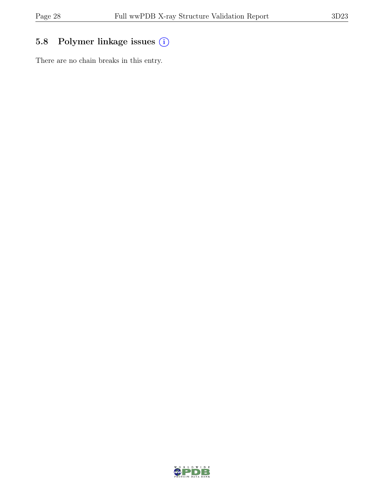## 5.8 Polymer linkage issues (i)

There are no chain breaks in this entry.

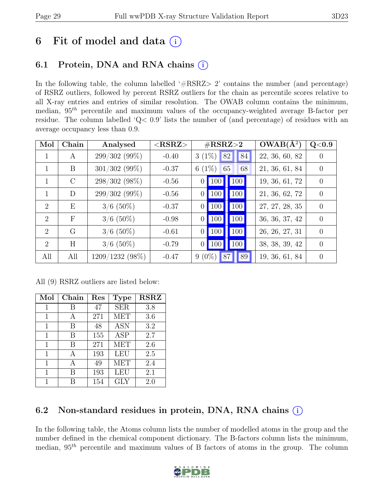# 6 Fit of model and data  $(i)$

## 6.1 Protein, DNA and RNA chains  $(i)$

In the following table, the column labelled  $#RSRZ>2$  contains the number (and percentage) of RSRZ outliers, followed by percent RSRZ outliers for the chain as percentile scores relative to all X-ray entries and entries of similar resolution. The OWAB column contains the minimum, median,  $95<sup>th</sup>$  percentile and maximum values of the occupancy-weighted average B-factor per residue. The column labelled 'Q< 0.9' lists the number of (and percentage) of residues with an average occupancy less than 0.9.

| Mol | Chain         | Analysed          | $<$ RSRZ $>$ | $\#\text{RSRZ}\text{>2}$ |            |    | $OWAB(\AA^2)$ | Q<0.9          |                  |
|-----|---------------|-------------------|--------------|--------------------------|------------|----|---------------|----------------|------------------|
| 1   | A             | $299/302(99\%)$   | $-0.40$      | $3(1\%)$                 |            | 82 | 84            | 22, 36, 60, 82 | $\left( \right)$ |
|     | B             | $301/302$ (99%)   | $-0.37$      | 6 $(1%)$                 |            | 65 | 68            | 21, 36, 61, 84 | $\Omega$         |
|     | $\mathcal{C}$ | 298/302 (98%)     | $-0.56$      | 0 <sup>1</sup>           | <b>100</b> |    | 100           | 19, 36, 61, 72 | $\theta$         |
|     | D             | 299/302 (99%)     | $-0.56$      | 0 <sup>1</sup>           | <b>100</b> |    | 100           | 21, 36, 62, 72 | $\overline{0}$   |
| 2   | E             | $3/6$ (50%)       | $-0.37$      | $\theta$                 | <b>100</b> |    | 100           | 27, 27, 28, 35 | $\overline{0}$   |
| 2   | $\mathbf{F}$  | $3/6$ (50%)       | $-0.98$      | $\Omega$                 | <b>100</b> |    | 100           | 36, 36, 37, 42 | $\Omega$         |
| 2   | G             | $3/6$ (50%)       | $-0.61$      | $\theta$                 | <b>100</b> |    | 100           | 26, 26, 27, 31 | $\Omega$         |
| 2   | H             | $3/6$ (50%)       | $-0.79$      | $\vert 0 \vert$          | <b>100</b> |    | 100           | 38, 38, 39, 42 | $\Omega$         |
| All | All           | $1209/1232(98\%)$ | $-0.47$      | $9(0\%)$                 |            | 87 | 89            | 19, 36, 61, 84 | $\theta$         |

All (9) RSRZ outliers are listed below:

| Mol | Chain | Res | <b>Type</b> | <b>RSRZ</b> |
|-----|-------|-----|-------------|-------------|
| 1   | В     | 47  | <b>SER</b>  | 3.8         |
| 1   | А     | 271 | MET         | 3.6         |
| 1   | B     | 48  | <b>ASN</b>  | 3.2         |
| 1   | В     | 155 | <b>ASP</b>  | 2.7         |
| 1   | В     | 271 | MET         | 2.6         |
| 1   |       | 193 | LEU         | 2.5         |
| 1   |       | 49  | MET         | 2.4         |
| 1   | В     | 193 | LEU         | 2.1         |
| 1   |       | 154 | <b>GLY</b>  | 2.0         |

## 6.2 Non-standard residues in protein, DNA, RNA chains  $(i)$

In the following table, the Atoms column lists the number of modelled atoms in the group and the number defined in the chemical component dictionary. The B-factors column lists the minimum, median,  $95<sup>th</sup>$  percentile and maximum values of B factors of atoms in the group. The column